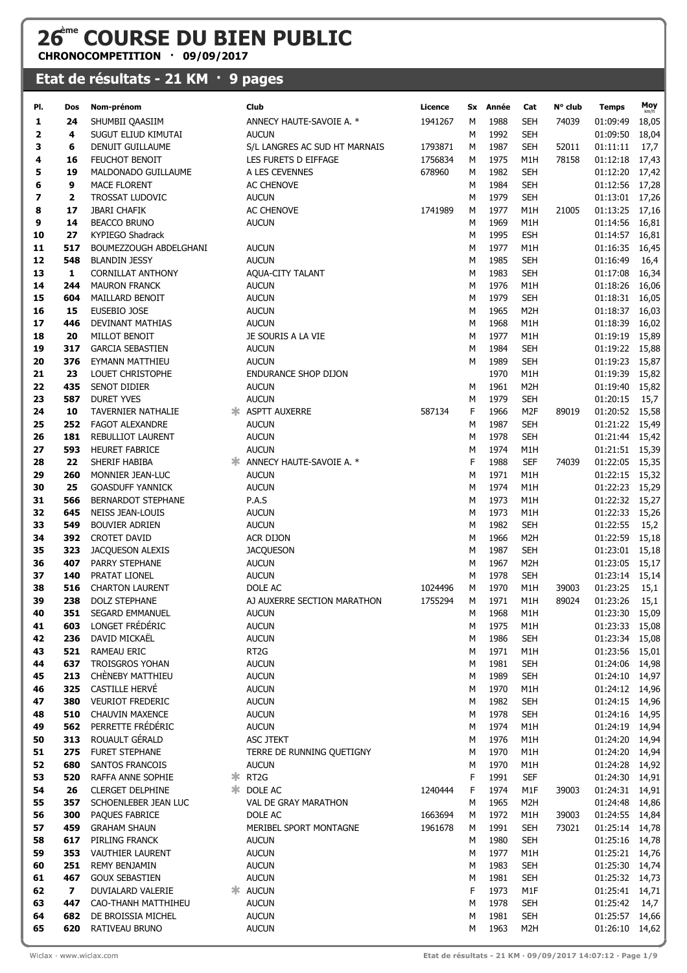## **26ème COURSE DU BIEN PUBLIC**

**CHRONOCOMPETITION · 09/09/2017**

## **Etat de résultats - 21 KM · 9 pages**

| PI.      | Dos                     | Nom-prénom                                        |   | Club                            | Licence |        | Sx Année     | Cat                     | N° club | <b>Temps</b>               | Moy            |
|----------|-------------------------|---------------------------------------------------|---|---------------------------------|---------|--------|--------------|-------------------------|---------|----------------------------|----------------|
| 1        | 24                      | SHUMBII QAASIIM                                   |   | ANNECY HAUTE-SAVOIE A. *        | 1941267 | м      | 1988         | SEH                     | 74039   | 01:09:49                   | 18,05          |
| 2        | 4                       | SUGUT ELIUD KIMUTAI                               |   | <b>AUCUN</b>                    |         | М      | 1992         | <b>SEH</b>              |         | 01:09:50                   | 18,04          |
| з        | 6                       | DENUIT GUILLAUME                                  |   | S/L LANGRES AC SUD HT MARNAIS   | 1793871 | М      | 1987         | <b>SEH</b>              | 52011   | 01:11:11                   | 17,7           |
| 4        | 16                      | FEUCHOT BENOIT                                    |   | LES FURETS D EIFFAGE            | 1756834 | М      | 1975         | M1H                     | 78158   | 01:12:18                   | 17,43          |
| 5        | 19                      | MALDONADO GUILLAUME                               |   | A LES CEVENNES                  | 678960  | М      | 1982         | <b>SEH</b>              |         | 01:12:20                   | 17,42          |
| 6        | 9                       | <b>MACE FLORENT</b>                               |   | AC CHENOVE                      |         | М      | 1984         | <b>SEH</b>              |         | 01:12:56                   | 17,28          |
| 7        | $\overline{\mathbf{2}}$ | <b>TROSSAT LUDOVIC</b>                            |   | <b>AUCUN</b>                    |         | М      | 1979         | <b>SEH</b>              |         | 01:13:01                   | 17,26          |
| 8        | 17                      | <b>JBARI CHAFIK</b>                               |   | AC CHENOVE                      | 1741989 | М      | 1977         | M1H                     | 21005   | 01:13:25                   | 17,16          |
| 9<br>10  | 14                      | <b>BEACCO BRUNO</b>                               |   | <b>AUCUN</b>                    |         | М      | 1969<br>1995 | M1H                     |         | 01:14:56                   | 16,81          |
| 11       | 27<br>517               | <b>KYPIEGO Shadrack</b><br>BOUMEZZOUGH ABDELGHANI |   | <b>AUCUN</b>                    |         | М<br>М | 1977         | <b>ESH</b><br>M1H       |         | 01:14:57<br>01:16:35       | 16,81<br>16,45 |
| 12       | 548                     | <b>BLANDIN JESSY</b>                              |   | <b>AUCUN</b>                    |         | М      | 1985         | <b>SEH</b>              |         | 01:16:49                   | 16,4           |
| 13       | 1                       | <b>CORNILLAT ANTHONY</b>                          |   | AQUA-CITY TALANT                |         | М      | 1983         | <b>SEH</b>              |         | 01:17:08                   | 16,34          |
| 14       | 244                     | <b>MAURON FRANCK</b>                              |   | <b>AUCUN</b>                    |         | M      | 1976         | M1H                     |         | 01:18:26                   | 16,06          |
| 15       | 604                     | MAILLARD BENOIT                                   |   | <b>AUCUN</b>                    |         | M      | 1979         | <b>SEH</b>              |         | 01:18:31                   | 16,05          |
| 16       | 15                      | EUSEBIO JOSE                                      |   | <b>AUCUN</b>                    |         | М      | 1965         | M <sub>2</sub> H        |         | 01:18:37                   | 16,03          |
| 17       | 446                     | <b>DEVINANT MATHIAS</b>                           |   | <b>AUCUN</b>                    |         | M      | 1968         | M1H                     |         | 01:18:39                   | 16,02          |
| 18       | 20                      | MILLOT BENOIT                                     |   | JE SOURIS A LA VIE              |         | М      | 1977         | M1H                     |         | 01:19:19                   | 15,89          |
| 19       | 317                     | <b>GARCIA SEBASTIEN</b>                           |   | <b>AUCUN</b>                    |         | M      | 1984         | <b>SEH</b>              |         | 01:19:22                   | 15,88          |
| 20       | 376                     | EYMANN MATTHIEU                                   |   | <b>AUCUN</b>                    |         | М      | 1989         | <b>SEH</b>              |         | 01:19:23                   | 15,87          |
| 21       | 23                      | <b>LOUET CHRISTOPHE</b>                           |   | ENDURANCE SHOP DIJON            |         |        | 1970         | M1H                     |         | 01:19:39                   | 15,82          |
| 22       | 435                     | SENOT DIDIER                                      |   | <b>AUCUN</b>                    |         | M      | 1961         | M <sub>2</sub> H        |         | 01:19:40                   | 15,82          |
| 23       | 587                     | <b>DURET YVES</b>                                 |   | <b>AUCUN</b>                    |         | М      | 1979         | <b>SEH</b>              |         | 01:20:15                   | 15,7           |
| 24       | 10                      | TAVERNIER NATHALIE                                |   | * ASPTT AUXERRE                 | 587134  | F      | 1966         | M2F                     | 89019   | 01:20:52                   | 15,58          |
| 25       | 252                     | <b>FAGOT ALEXANDRE</b>                            |   | <b>AUCUN</b>                    |         | M      | 1987         | <b>SEH</b>              |         | 01:21:22                   | 15,49          |
| 26<br>27 | 181<br>593              | <b>REBULLIOT LAURENT</b>                          |   | <b>AUCUN</b><br><b>AUCUN</b>    |         | М<br>М | 1978<br>1974 | <b>SEH</b><br>M1H       |         | 01:21:44<br>01:21:51       | 15,42          |
| 28       | 22                      | <b>HEURET FABRICE</b><br>SHERIF HABIBA            |   | ANNECY HAUTE-SAVOIE A. *        |         | F      | 1988         | <b>SEF</b>              | 74039   | 01:22:05                   | 15,39<br>15,35 |
| 29       | 260                     | MONNIER JEAN-LUC                                  |   | <b>AUCUN</b>                    |         | М      | 1971         | M1H                     |         | 01:22:15 15,32             |                |
| 30       | 25                      | <b>GOASDUFF YANNICK</b>                           |   | <b>AUCUN</b>                    |         | М      | 1974         | M1H                     |         | 01:22:23                   | 15,29          |
| 31       | 566                     | <b>BERNARDOT STEPHANE</b>                         |   | P.A.S                           |         | M      | 1973         | M1H                     |         | 01:22:32                   | 15,27          |
| 32       | 645                     | NEISS JEAN-LOUIS                                  |   | <b>AUCUN</b>                    |         | M      | 1973         | M1H                     |         | 01:22:33                   | 15,26          |
| 33       | 549                     | <b>BOUVIER ADRIEN</b>                             |   | <b>AUCUN</b>                    |         | М      | 1982         | <b>SEH</b>              |         | 01:22:55                   | 15,2           |
| 34       | 392                     | <b>CROTET DAVID</b>                               |   | ACR DIJON                       |         | М      | 1966         | M <sub>2</sub> H        |         | 01:22:59                   | 15,18          |
| 35       | 323                     | JACQUESON ALEXIS                                  |   | <b>JACQUESON</b>                |         | М      | 1987         | <b>SEH</b>              |         | 01:23:01                   | 15,18          |
| 36       | 407                     | PARRY STEPHANE                                    |   | <b>AUCUN</b>                    |         | M      | 1967         | M <sub>2</sub> H        |         | 01:23:05                   | 15,17          |
| 37       | 140                     | PRATAT LIONEL                                     |   | <b>AUCUN</b>                    |         | М      | 1978         | <b>SEH</b>              |         | 01:23:14 15,14             |                |
| 38       | 516                     | <b>CHARTON LAURENT</b>                            |   | DOLE AC                         | 1024496 | М      | 1970         | M1H                     | 39003   | 01:23:25                   | 15,1           |
| 39       | 238                     | <b>DOLZ STEPHANE</b>                              |   | AJ AUXERRE SECTION MARATHON     | 1755294 | M      | 1971         | M1H                     | 89024   | 01:23:26                   | 15,1           |
| 40       | 351<br>603              | <b>SEGARD EMMANUEL</b><br>LONGET FRÉDÉRIC         |   | <b>AUCUN</b>                    |         | M      | 1968         | M1H                     |         | 01:23:30 15,09             |                |
| 41<br>42 | 236                     | DAVID MICKAËL                                     |   | <b>AUCUN</b><br><b>AUCUN</b>    |         | м<br>M | 1975<br>1986 | M1H<br><b>SEH</b>       |         | 01:23:33 15,08<br>01:23:34 | 15,08          |
| 43       | 521                     | <b>RAMEAU ERIC</b>                                |   | RT <sub>2G</sub>                |         | М      | 1971         | M1H                     |         | 01:23:56                   | 15,01          |
| 44       | 637                     | TROISGROS YOHAN                                   |   | <b>AUCUN</b>                    |         | М      | 1981         | <b>SEH</b>              |         | 01:24:06                   | 14,98          |
| 45       | 213                     | CHÈNEBY MATTHIEU                                  |   | <b>AUCUN</b>                    |         | М      | 1989         | <b>SEH</b>              |         | 01:24:10 14,97             |                |
| 46       | 325                     | CASTILLE HERVÉ                                    |   | <b>AUCUN</b>                    |         | М      | 1970         | M1H                     |         | 01:24:12                   | 14,96          |
| 47       | 380                     | <b>VEURIOT FREDERIC</b>                           |   | <b>AUCUN</b>                    |         | M      | 1982         | <b>SEH</b>              |         | 01:24:15                   | 14,96          |
| 48       | 510                     | <b>CHAUVIN MAXENCE</b>                            |   | <b>AUCUN</b>                    |         | М      | 1978         | <b>SEH</b>              |         | 01:24:16                   | 14,95          |
| 49       | 562                     | PERRETTE FRÉDÉRIC                                 |   | <b>AUCUN</b>                    |         | М      | 1974         | M1H                     |         | 01:24:19                   | 14,94          |
| 50       | 313                     | ROUAULT GÉRALD                                    |   | <b>ASC JTEKT</b>                |         | М      | 1976         | M1H                     |         | 01:24:20                   | 14,94          |
| 51       | 275                     | FURET STEPHANE                                    |   | TERRE DE RUNNING QUETIGNY       |         | М      | 1970         | M1H                     |         | 01:24:20                   | 14,94          |
| 52       | 680                     | <b>SANTOS FRANCOIS</b>                            |   | <b>AUCUN</b>                    |         | М      | 1970         | M1H                     |         | 01:24:28                   | 14,92          |
| 53       | 520                     | RAFFA ANNE SOPHIE                                 | ж | RT <sub>2G</sub>                |         | F      | 1991         | <b>SEF</b>              |         | 01:24:30                   | 14,91          |
| 54       | 26                      | <b>CLERGET DELPHINE</b>                           |   | <b>SEXELEXER</b>                | 1240444 | F      | 1974         | M1F                     | 39003   | 01:24:31 14,91             |                |
| 55<br>56 | 357<br>300              | SCHOENLEBER JEAN LUC<br>PAQUES FABRICE            |   | VAL DE GRAY MARATHON<br>DOLE AC | 1663694 | M<br>М | 1965<br>1972 | M <sub>2</sub> H<br>M1H | 39003   | 01:24:48<br>01:24:55       | 14,86<br>14,84 |
| 57       | 459                     | <b>GRAHAM SHAUN</b>                               |   | MERIBEL SPORT MONTAGNE          | 1961678 | М      | 1991         | <b>SEH</b>              | 73021   | 01:25:14                   | 14,78          |
| 58       | 617                     | PIRLING FRANCK                                    |   | <b>AUCUN</b>                    |         | М      | 1980         | <b>SEH</b>              |         | 01:25:16                   | 14,78          |
| 59       | 353                     | <b>VAUTHIER LAURENT</b>                           |   | <b>AUCUN</b>                    |         | М      | 1977         | M1H                     |         | 01:25:21 14,76             |                |
| 60       | 251                     | <b>REMY BENJAMIN</b>                              |   | <b>AUCUN</b>                    |         | М      | 1983         | <b>SEH</b>              |         | 01:25:30                   | 14,74          |
| 61       | 467                     | <b>GOUX SEBASTIEN</b>                             |   | <b>AUCUN</b>                    |         | М      | 1981         | <b>SEH</b>              |         | 01:25:32 14,73             |                |
| 62       | 7                       | DUVIALARD VALERIE                                 |   | <b>≭</b> AUCUN                  |         | F      | 1973         | M1F                     |         | 01:25:41 14,71             |                |
| 63       | 447                     | CAO-THANH MATTHIHEU                               |   | <b>AUCUN</b>                    |         | М      | 1978         | <b>SEH</b>              |         | 01:25:42                   | 14,7           |
| 64       | 682                     | DE BROISSIA MICHEL                                |   | <b>AUCUN</b>                    |         | М      | 1981         | <b>SEH</b>              |         | 01:25:57                   | 14,66          |
| 65       | 620                     | RATIVEAU BRUNO                                    |   | <b>AUCUN</b>                    |         | М      | 1963         | M <sub>2</sub> H        |         | 01:26:10 14,62             |                |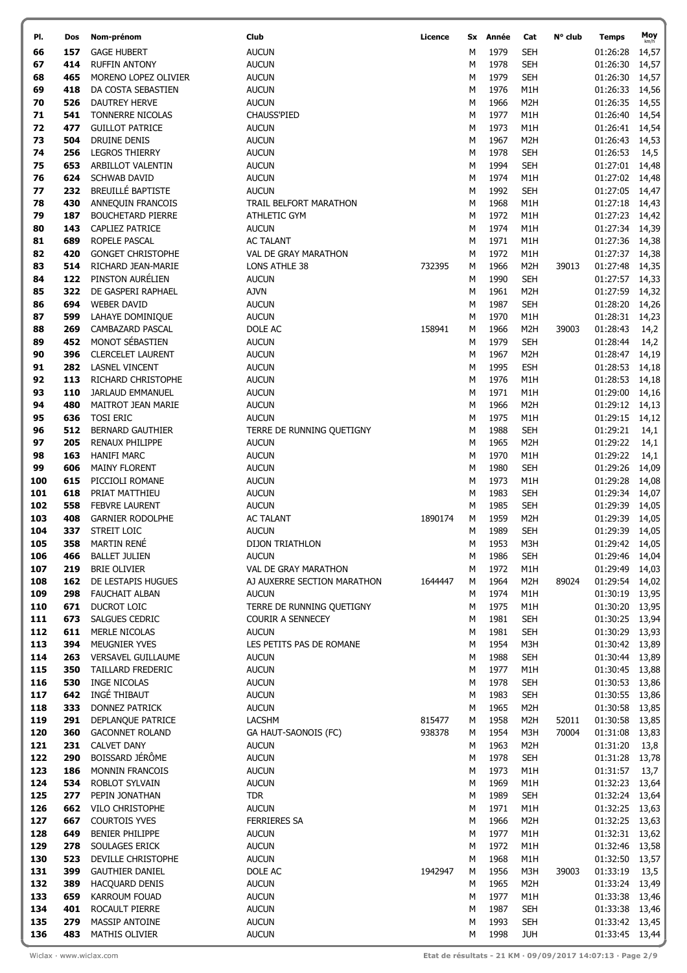| PI.        | Dos        | Nom-prénom                                      | Club                              | Licence | Sx     | Année        | Cat                      | $N^{\circ}$ club | Temps                | Moy            |
|------------|------------|-------------------------------------------------|-----------------------------------|---------|--------|--------------|--------------------------|------------------|----------------------|----------------|
| 66         | 157        | <b>GAGE HUBERT</b>                              | <b>AUCUN</b>                      |         | М      | 1979         | SEH                      |                  | 01:26:28             | 14,57          |
| 67         | 414        | <b>RUFFIN ANTONY</b>                            | <b>AUCUN</b>                      |         | М      | 1978         | <b>SEH</b>               |                  | 01:26:30             | 14,57          |
| 68         | 465        | MORENO LOPEZ OLIVIER                            | <b>AUCUN</b>                      |         | М      | 1979         | <b>SEH</b>               |                  | 01:26:30             | 14,57          |
| 69         | 418        | DA COSTA SEBASTIEN                              | <b>AUCUN</b>                      |         | м      | 1976         | M1H                      |                  | 01:26:33             | 14,56          |
| 70         | 526        | <b>DAUTREY HERVE</b>                            | <b>AUCUN</b>                      |         | М      | 1966         | M <sub>2</sub> H         |                  | 01:26:35             | 14,55          |
| 71         | 541        | TONNERRE NICOLAS                                | <b>CHAUSS'PIED</b>                |         | М      | 1977         | M1H                      |                  | 01:26:40             | 14,54          |
| 72         | 477        | <b>GUILLOT PATRICE</b>                          | <b>AUCUN</b>                      |         | М      | 1973         | M1H                      |                  | 01:26:41             | 14,54          |
| 73         | 504        | <b>DRUINE DENIS</b>                             | <b>AUCUN</b>                      |         | M      | 1967         | M <sub>2</sub> H         |                  | 01:26:43             | 14,53          |
| 74         | 256        | <b>LEGROS THIERRY</b>                           | <b>AUCUN</b>                      |         | М      | 1978         | <b>SEH</b>               |                  | 01:26:53             | 14,5           |
| 75         | 653        | ARBILLOT VALENTIN                               | <b>AUCUN</b>                      |         | М      | 1994         | <b>SEH</b>               |                  | 01:27:01             | 14,48          |
| 76         | 624        | <b>SCHWAB DAVID</b>                             | <b>AUCUN</b>                      |         | М      | 1974         | M1H                      |                  | 01:27:02             | 14,48          |
| 77         | 232        | <b>BREUILLÉ BAPTISTE</b>                        | <b>AUCUN</b>                      |         | М      | 1992         | <b>SEH</b>               |                  | 01:27:05             | 14,47          |
| 78         | 430        | ANNEQUIN FRANCOIS                               | TRAIL BELFORT MARATHON            |         | М      | 1968         | M1H                      |                  | 01:27:18             | 14,43          |
| 79         | 187        | <b>BOUCHETARD PIERRE</b>                        | <b>ATHLETIC GYM</b>               |         | М      | 1972         | M1H                      |                  | 01:27:23             | 14,42          |
| 80         | 143        | <b>CAPLIEZ PATRICE</b>                          | <b>AUCUN</b>                      |         | M      | 1974         | M1H                      |                  | 01:27:34             | 14,39          |
| 81         | 689        | ROPELE PASCAL                                   | <b>AC TALANT</b>                  |         | М      | 1971         | M1H                      |                  | 01:27:36             | 14,38          |
| 82         | 420        | <b>GONGET CHRISTOPHE</b>                        | VAL DE GRAY MARATHON              |         | М      | 1972         | M1H                      |                  | 01:27:37             | 14,38          |
| 83         | 514        | RICHARD JEAN-MARIE                              | LONS ATHLE 38                     | 732395  | М      | 1966         | M <sub>2</sub> H         | 39013            | 01:27:48             | 14,35          |
| 84         | 122        | PINSTON AURÉLIEN                                | <b>AUCUN</b>                      |         | М      | 1990         | <b>SEH</b>               |                  | 01:27:57             | 14,33          |
| 85         | 322        | DE GASPERI RAPHAEL                              | <b>AJVN</b>                       |         | М      | 1961         | M2H                      |                  | 01:27:59             | 14,32          |
| 86         | 694        | <b>WEBER DAVID</b><br>LAHAYE DOMINIQUE          | <b>AUCUN</b>                      |         | М      | 1987         | <b>SEH</b>               |                  | 01:28:20             | 14,26          |
| 87<br>88   | 599<br>269 | <b>CAMBAZARD PASCAL</b>                         | <b>AUCUN</b><br>DOLE AC           | 158941  | М<br>м | 1970<br>1966 | M1H<br>M2H               | 39003            | 01:28:31<br>01:28:43 | 14,23          |
| 89         | 452        | MONOT SÉBASTIEN                                 | <b>AUCUN</b>                      |         | М      | 1979         | <b>SEH</b>               |                  | 01:28:44             | 14,2<br>14,2   |
| 90         | 396        | <b>CLERCELET LAURENT</b>                        | <b>AUCUN</b>                      |         | М      | 1967         | M2H                      |                  | 01:28:47             | 14,19          |
| 91         | 282        | <b>LASNEL VINCENT</b>                           | <b>AUCUN</b>                      |         | M      | 1995         | <b>ESH</b>               |                  | 01:28:53             | 14,18          |
| 92         | 113        | RICHARD CHRISTOPHE                              | <b>AUCUN</b>                      |         | М      | 1976         | M1H                      |                  | 01:28:53             | 14,18          |
| 93         | 110        | <b>JARLAUD EMMANUEL</b>                         | <b>AUCUN</b>                      |         | М      | 1971         | M1H                      |                  | 01:29:00             | 14,16          |
| 94         | 480        | <b>MAITROT JEAN MARIE</b>                       | <b>AUCUN</b>                      |         | М      | 1966         | M <sub>2</sub> H         |                  | 01:29:12             | 14,13          |
| 95         | 636        | <b>TOSI ERIC</b>                                | <b>AUCUN</b>                      |         | М      | 1975         | M1H                      |                  | 01:29:15             | 14,12          |
| 96         | 512        | <b>BERNARD GAUTHIER</b>                         | TERRE DE RUNNING QUETIGNY         |         | М      | 1988         | <b>SEH</b>               |                  | 01:29:21             | 14,1           |
| 97         | 205        | <b>RENAUX PHILIPPE</b>                          | <b>AUCUN</b>                      |         | М      | 1965         | M <sub>2</sub> H         |                  | 01:29:22             | 14,1           |
| 98         | 163        | <b>HANIFI MARC</b>                              | <b>AUCUN</b>                      |         | М      | 1970         | M <sub>1</sub> H         |                  | 01:29:22             | 14,1           |
| 99         | 606        | <b>MAINY FLORENT</b>                            | <b>AUCUN</b>                      |         | М      | 1980         | <b>SEH</b>               |                  | 01:29:26             | 14,09          |
| 100        | 615        | PICCIOLI ROMANE                                 | <b>AUCUN</b>                      |         | М      | 1973         | M1H                      |                  | 01:29:28             | 14,08          |
| 101        | 618        | PRIAT MATTHIEU                                  | <b>AUCUN</b>                      |         | М      | 1983         | <b>SEH</b>               |                  | 01:29:34             | 14,07          |
| 102        | 558        | <b>FEBVRE LAURENT</b>                           | <b>AUCUN</b>                      |         | М      | 1985         | <b>SEH</b>               |                  | 01:29:39             | 14,05          |
| 103        | 408        | <b>GARNIER RODOLPHE</b>                         | <b>AC TALANT</b>                  | 1890174 | М      | 1959         | M <sub>2</sub> H         |                  | 01:29:39             | 14,05          |
| 104        | 337        | STREIT LOIC                                     | <b>AUCUN</b>                      |         | М      | 1989         | <b>SEH</b>               |                  | 01:29:39             | 14,05          |
| 105        | 358        | <b>MARTIN RENÉ</b>                              | DIJON TRIATHLON                   |         | M      | 1953         | M3H                      |                  | 01:29:42 14,05       |                |
| 106        | 466        | <b>BALLET JULIEN</b>                            | <b>AUCUN</b>                      |         | M      | 1986         | <b>SEH</b>               |                  | 01:29:46             | 14,04          |
| 107        | 219        | <b>BRIE OLIVIER</b>                             | VAL DE GRAY MARATHON              |         | М      | 1972         | M1H                      |                  | 01:29:49             | 14,03          |
| 108        | 162        | DE LESTAPIS HUGUES                              | AJ AUXERRE SECTION MARATHON       | 1644447 | М      | 1964         | M <sub>2</sub> H         | 89024            | 01:29:54             | 14,02          |
| 109        | 298        | <b>FAUCHAIT ALBAN</b>                           | <b>AUCUN</b>                      |         | М      | 1974         | M1H                      |                  | 01:30:19             | 13,95          |
| 110        | 671        | <b>DUCROT LOIC</b>                              | TERRE DE RUNNING QUETIGNY         |         | М      | 1975         | M1H                      |                  | 01:30:20             | 13,95          |
| 111<br>112 | 673<br>611 | <b>SALGUES CEDRIC</b><br>MERLE NICOLAS          | COURIR A SENNECEY<br><b>AUCUN</b> |         | М<br>М | 1981<br>1981 | <b>SEH</b><br><b>SEH</b> |                  | 01:30:25<br>01:30:29 | 13,94<br>13,93 |
| 113        | 394        | <b>MEUGNIER YVES</b>                            | LES PETITS PAS DE ROMANE          |         | М      | 1954         | M3H                      |                  | 01:30:42             | 13,89          |
| 114        | 263        | <b>VERSAVEL GUILLAUME</b>                       | <b>AUCUN</b>                      |         | М      | 1988         | <b>SEH</b>               |                  | 01:30:44             | 13,89          |
| 115        | 350        | TAILLARD FREDERIC                               | <b>AUCUN</b>                      |         | M      | 1977         | M1H                      |                  | 01:30:45             | 13,88          |
| 116        | 530        | <b>INGE NICOLAS</b>                             | <b>AUCUN</b>                      |         | М      | 1978         | <b>SEH</b>               |                  | 01:30:53             | 13,86          |
| 117        | 642        | INGÉ THIBAUT                                    | <b>AUCUN</b>                      |         | M      | 1983         | <b>SEH</b>               |                  | 01:30:55             | 13,86          |
| 118        | 333        | <b>DONNEZ PATRICK</b>                           | <b>AUCUN</b>                      |         | М      | 1965         | M <sub>2</sub> H         |                  | 01:30:58             | 13,85          |
| 119        | 291        | DEPLANQUE PATRICE                               | LACSHM                            | 815477  | М      | 1958         | M <sub>2</sub> H         | 52011            | 01:30:58             | 13,85          |
| 120        | 360        | <b>GACONNET ROLAND</b>                          | GA HAUT-SAONOIS (FC)              | 938378  | М      | 1954         | M3H                      | 70004            | 01:31:08             | 13,83          |
| 121        | 231        | <b>CALVET DANY</b>                              | <b>AUCUN</b>                      |         | М      | 1963         | M <sub>2</sub> H         |                  | 01:31:20             | 13,8           |
| 122        | 290        | BOISSARD JÉRÔME                                 | <b>AUCUN</b>                      |         | М      | 1978         | <b>SEH</b>               |                  | 01:31:28             | 13,78          |
| 123        | 186        | MONNIN FRANCOIS                                 | <b>AUCUN</b>                      |         | М      | 1973         | M <sub>1</sub> H         |                  | 01:31:57             | 13,7           |
| 124        | 534        | <b>ROBLOT SYLVAIN</b>                           | <b>AUCUN</b>                      |         | М      | 1969         | M1H                      |                  | 01:32:23             | 13,64          |
| 125        | 277        | PEPIN JONATHAN                                  | <b>TDR</b>                        |         | М      | 1989         | <b>SEH</b>               |                  | 01:32:24             | 13,64          |
| 126        | 662        | <b>VILO CHRISTOPHE</b>                          | <b>AUCUN</b>                      |         | М      | 1971         | M1H                      |                  | 01:32:25             | 13,63          |
| 127        | 667        | <b>COURTOIS YVES</b>                            | <b>FERRIERES SA</b>               |         | М      | 1966         | M <sub>2</sub> H         |                  | 01:32:25             | 13,63          |
| 128        | 649        | <b>BENIER PHILIPPE</b>                          | <b>AUCUN</b>                      |         | M      | 1977         | M1H                      |                  | 01:32:31             | 13,62          |
| 129        | 278        | SOULAGES ERICK                                  | <b>AUCUN</b>                      |         | М      | 1972         | M1H                      |                  | 01:32:46             | 13,58          |
| 130        | 523        | DEVILLE CHRISTOPHE                              | <b>AUCUN</b>                      |         | М      | 1968         | M1H                      |                  | 01:32:50             | 13,57          |
| 131<br>132 | 399<br>389 | <b>GAUTHIER DANIEL</b><br><b>HACQUARD DENIS</b> | DOLE AC<br><b>AUCUN</b>           | 1942947 | М<br>М | 1956<br>1965 | M3H<br>M <sub>2</sub> H  | 39003            | 01:33:19<br>01:33:24 | 13,5           |
| 133        | 659        | KARROUM FOUAD                                   | <b>AUCUN</b>                      |         | М      | 1977         | M <sub>1</sub> H         |                  | 01:33:38             | 13,49<br>13,46 |
| 134        | 401        | ROCAULT PIERRE                                  | <b>AUCUN</b>                      |         | М      | 1987         | <b>SEH</b>               |                  | 01:33:38             | 13,46          |
| 135        | 279        | MASSIP ANTOINE                                  | <b>AUCUN</b>                      |         | М      | 1993         | <b>SEH</b>               |                  | 01:33:42 13,45       |                |
| 136        | 483        | MATHIS OLIVIER                                  | <b>AUCUN</b>                      |         | М      | 1998         | <b>JUH</b>               |                  | 01:33:45 13,44       |                |
|            |            |                                                 |                                   |         |        |              |                          |                  |                      |                |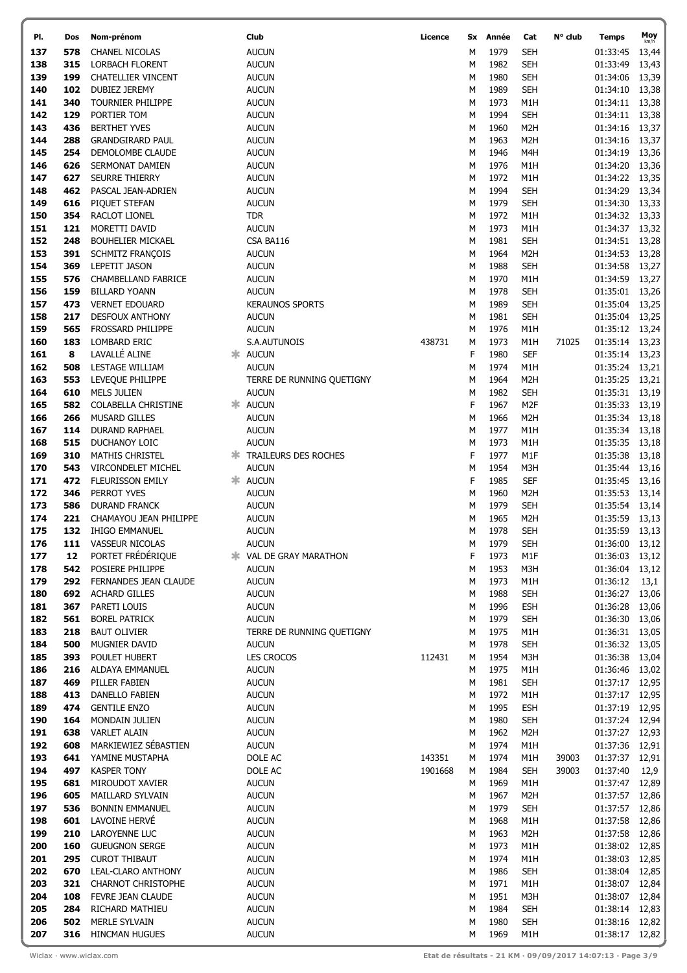| PI.        | Dos        | Nom-prénom                               | Club                          | Licence | Sx     | Année        | Cat                            | N° club | <b>Temps</b>               | Moy<br>km/h    |
|------------|------------|------------------------------------------|-------------------------------|---------|--------|--------------|--------------------------------|---------|----------------------------|----------------|
| 137        | 578        | CHANEL NICOLAS                           | <b>AUCUN</b>                  |         | М      | 1979         | <b>SEH</b>                     |         | 01:33:45                   | 13,44          |
| 138        | 315        | <b>LORBACH FLORENT</b>                   | <b>AUCUN</b>                  |         | М      | 1982         | <b>SEH</b>                     |         | 01:33:49                   | 13,43          |
| 139        | 199        | <b>CHATELLIER VINCENT</b>                | <b>AUCUN</b>                  |         | M      | 1980         | <b>SEH</b>                     |         | 01:34:06                   | 13,39          |
| 140        | 102        | DUBIEZ JEREMY                            | <b>AUCUN</b>                  |         | M      | 1989         | <b>SEH</b>                     |         | 01:34:10                   | 13,38          |
| 141        | 340        | TOURNIER PHILIPPE                        | <b>AUCUN</b>                  |         | M      | 1973         | M1H                            |         | 01:34:11                   | 13,38          |
| 142        | 129        | PORTIER TOM                              | <b>AUCUN</b>                  |         | M      | 1994         | <b>SEH</b>                     |         | 01:34:11 13,38             |                |
| 143        | 436        | <b>BERTHET YVES</b>                      | <b>AUCUN</b>                  |         | М      | 1960         | M <sub>2</sub> H               |         | 01:34:16                   | 13,37          |
| 144        | 288        | <b>GRANDGIRARD PAUL</b>                  | <b>AUCUN</b>                  |         | M      | 1963         | M <sub>2</sub> H               |         | 01:34:16                   | 13,37          |
| 145        | 254        | DEMOLOMBE CLAUDE                         | <b>AUCUN</b>                  |         | M      | 1946         | M4H                            |         | 01:34:19                   | 13,36          |
| 146<br>147 | 626<br>627 | SERMONAT DAMIEN<br><b>SEURRE THIERRY</b> | <b>AUCUN</b><br><b>AUCUN</b>  |         | M<br>М | 1976<br>1972 | M1H                            |         | 01:34:20                   | 13,36          |
| 148        | 462        | PASCAL JEAN-ADRIEN                       | <b>AUCUN</b>                  |         | M      | 1994         | M1H<br><b>SEH</b>              |         | 01:34:22<br>01:34:29       | 13,35<br>13,34 |
| 149        | 616        | PIQUET STEFAN                            | <b>AUCUN</b>                  |         | M      | 1979         | <b>SEH</b>                     |         | 01:34:30                   | 13,33          |
| 150        | 354        | RACLOT LIONEL                            | <b>TDR</b>                    |         | M      | 1972         | M1H                            |         | 01:34:32 13,33             |                |
| 151        | 121        | MORETTI DAVID                            | <b>AUCUN</b>                  |         | M      | 1973         | M1H                            |         | 01:34:37                   | 13,32          |
| 152        | 248        | <b>BOUHELIER MICKAEL</b>                 | CSA BA116                     |         | M      | 1981         | <b>SEH</b>                     |         | 01:34:51                   | 13,28          |
| 153        | 391        | <b>SCHMITZ FRANÇOIS</b>                  | <b>AUCUN</b>                  |         | M      | 1964         | M <sub>2</sub> H               |         | 01:34:53                   | 13,28          |
| 154        | 369        | LEPETIT JASON                            | <b>AUCUN</b>                  |         | М      | 1988         | <b>SEH</b>                     |         | 01:34:58                   | 13,27          |
| 155        | 576        | CHAMBELLAND FABRICE                      | <b>AUCUN</b>                  |         | M      | 1970         | M1H                            |         | 01:34:59                   | 13,27          |
| 156        | 159        | <b>BILLARD YOANN</b>                     | <b>AUCUN</b>                  |         | M      | 1978         | <b>SEH</b>                     |         | 01:35:01                   | 13,26          |
| 157        | 473        | <b>VERNET EDOUARD</b>                    | <b>KERAUNOS SPORTS</b>        |         | M      | 1989         | <b>SEH</b>                     |         | 01:35:04                   | 13,25          |
| 158        | 217        | <b>DESFOUX ANTHONY</b>                   | <b>AUCUN</b>                  |         | М      | 1981         | <b>SEH</b>                     |         | 01:35:04                   | 13,25          |
| 159<br>160 | 565<br>183 | <b>FROSSARD PHILIPPE</b><br>LOMBARD ERIC | AUCUN                         | 438731  | M      | 1976<br>1973 | M1H                            |         | 01:35:12                   | 13,24          |
| 161        | 8          | LAVALLÉ ALINE                            | S.A.AUTUNOIS<br>* AUCUN       |         | M<br>F | 1980         | M <sub>1</sub> H<br><b>SEF</b> | 71025   | 01:35:14<br>01:35:14 13,23 | 13,23          |
| 162        | 508        | LESTAGE WILLIAM                          | <b>AUCUN</b>                  |         | M      | 1974         | M1H                            |         | 01:35:24                   | 13,21          |
| 163        | 553        | LEVEQUE PHILIPPE                         | TERRE DE RUNNING QUETIGNY     |         | M      | 1964         | M <sub>2</sub> H               |         | 01:35:25                   | 13,21          |
| 164        | 610        | <b>MELS JULIEN</b>                       | <b>AUCUN</b>                  |         | M      | 1982         | <b>SEH</b>                     |         | 01:35:31 13,19             |                |
| 165        | 582        | COLABELLA CHRISTINE                      | * AUCUN                       |         | F      | 1967         | M <sub>2F</sub>                |         | 01:35:33                   | 13,19          |
| 166        | 266        | <b>MUSARD GILLES</b>                     | <b>AUCUN</b>                  |         | M      | 1966         | M <sub>2</sub> H               |         | 01:35:34                   | 13,18          |
| 167        | 114        | <b>DURAND RAPHAEL</b>                    | <b>AUCUN</b>                  |         | M      | 1977         | M1H                            |         | 01:35:34                   | 13,18          |
| 168        | 515        | DUCHANOY LOIC                            | <b>AUCUN</b>                  |         | M      | 1973         | M1H                            |         | 01:35:35                   | 13,18          |
| 169        | 310        | <b>MATHIS CHRISTEL</b>                   | <b>* TRAILEURS DES ROCHES</b> |         | F      | 1977         | M <sub>1</sub> F               |         | 01:35:38                   | 13,18          |
| 170        | 543        | VIRCONDELET MICHEL                       | <b>AUCUN</b>                  |         | М      | 1954         | M3H                            |         | 01:35:44                   | 13,16          |
| 171        | 472        | <b>FLEURISSON EMILY</b>                  | * AUCUN                       |         | F      | 1985         | <b>SEF</b>                     |         | 01:35:45                   | 13,16          |
| 172<br>173 | 346        | PERROT YVES                              | <b>AUCUN</b><br><b>AUCUN</b>  |         | M<br>M | 1960<br>1979 | M <sub>2</sub> H<br><b>SEH</b> |         | 01:35:53                   | 13,14          |
| 174        | 586<br>221 | DURAND FRANCK<br>CHAMAYOU JEAN PHILIPPE  | <b>AUCUN</b>                  |         | M      | 1965         | M <sub>2</sub> H               |         | 01:35:54<br>01:35:59       | 13,14<br>13,13 |
| 175        | 132        | <b>IHIGO EMMANUEL</b>                    | <b>AUCUN</b>                  |         | М      | 1978         | <b>SEH</b>                     |         | 01:35:59                   | 13,13          |
| 176        | 111        | VASSEUR NICOLAS                          | <b>AUCUN</b>                  |         | М      | 1979         | <b>SEH</b>                     |         | 01:36:00                   | 13,12          |
| 177        | 12         | PORTET FRÉDÉRIQUE                        | <b>* VAL DE GRAY MARATHON</b> |         | F      | 1973         | M <sub>1</sub> F               |         | 01:36:03 13,12             |                |
| 178        | 542        | POSIERE PHILIPPE                         | <b>AUCUN</b>                  |         | M      | 1953         | M3H                            |         | 01:36:04                   | 13,12          |
| 179        | 292        | FERNANDES JEAN CLAUDE                    | <b>AUCUN</b>                  |         | M      | 1973         | M <sub>1</sub> H               |         | 01:36:12                   | 13,1           |
| 180        | 692        | <b>ACHARD GILLES</b>                     | <b>AUCUN</b>                  |         | M      | 1988         | <b>SEH</b>                     |         | 01:36:27                   | 13,06          |
| 181        | 367        | PARETI LOUIS                             | <b>AUCUN</b>                  |         | M      | 1996         | <b>ESH</b>                     |         | 01:36:28                   | 13,06          |
| 182        | 561        | <b>BOREL PATRICK</b>                     | <b>AUCUN</b>                  |         | M      | 1979         | <b>SEH</b>                     |         | 01:36:30                   | 13,06          |
| 183        | 218        | <b>BAUT OLIVIER</b>                      | TERRE DE RUNNING QUETIGNY     |         | M      | 1975         | M <sub>1</sub> H               |         | 01:36:31 13,05             |                |
| 184        | 500        | MUGNIER DAVID                            | <b>AUCUN</b>                  |         | М      | 1978         | <b>SEH</b>                     |         | 01:36:32                   | 13,05          |
| 185<br>186 | 393<br>216 | POULET HUBERT<br>ALDAYA EMMANUEL         | LES CROCOS<br><b>AUCUN</b>    | 112431  | M<br>М | 1954<br>1975 | M3H<br>M1H                     |         | 01:36:38<br>01:36:46 13,02 | 13,04          |
| 187        | 469        | PILLER FABIEN                            | <b>AUCUN</b>                  |         | М      | 1981         | <b>SEH</b>                     |         | 01:37:17 12,95             |                |
| 188        | 413        | DANELLO FABIEN                           | <b>AUCUN</b>                  |         | М      | 1972         | M <sub>1</sub> H               |         | 01:37:17 12,95             |                |
| 189        | 474        | <b>GENTILE ENZO</b>                      | <b>AUCUN</b>                  |         | М      | 1995         | <b>ESH</b>                     |         | 01:37:19 12,95             |                |
| 190        | 164        | MONDAIN JULIEN                           | <b>AUCUN</b>                  |         | M      | 1980         | <b>SEH</b>                     |         | 01:37:24 12,94             |                |
| 191        | 638        | <b>VARLET ALAIN</b>                      | <b>AUCUN</b>                  |         | M      | 1962         | M <sub>2</sub> H               |         | 01:37:27 12,93             |                |
| 192        | 608        | MARKIEWIEZ SÉBASTIEN                     | <b>AUCUN</b>                  |         | М      | 1974         | M1H                            |         | 01:37:36                   | 12,91          |
| 193        | 641        | YAMINE MUSTAPHA                          | DOLE AC                       | 143351  | M      | 1974         | M1H                            | 39003   | 01:37:37                   | 12,91          |
| 194        | 497        | <b>KASPER TONY</b>                       | DOLE AC                       | 1901668 | M      | 1984         | <b>SEH</b>                     | 39003   | 01:37:40                   | 12,9           |
| 195        | 681        | MIROUDOT XAVIER                          | <b>AUCUN</b>                  |         | М      | 1969         | M1H                            |         | 01:37:47                   | 12,89          |
| 196        | 605        | MAILLARD SYLVAIN                         | <b>AUCUN</b>                  |         | М      | 1967         | M <sub>2</sub> H               |         | 01:37:57                   | 12,86          |
| 197<br>198 | 536<br>601 | <b>BONNIN EMMANUEL</b><br>LAVOINE HERVÉ  | <b>AUCUN</b><br><b>AUCUN</b>  |         | М<br>М | 1979<br>1968 | <b>SEH</b><br>M1H              |         | 01:37:57 12,86<br>01:37:58 |                |
| 199        | 210        | LAROYENNE LUC                            | <b>AUCUN</b>                  |         | M      | 1963         | M <sub>2</sub> H               |         | 01:37:58                   | 12,86<br>12,86 |
| 200        | 160        | <b>GUEUGNON SERGE</b>                    | <b>AUCUN</b>                  |         | M      | 1973         | M1H                            |         | 01:38:02 12,85             |                |
| 201        | 295        | <b>CUROT THIBAUT</b>                     | <b>AUCUN</b>                  |         | M      | 1974         | M <sub>1</sub> H               |         | 01:38:03                   | 12,85          |
| 202        | 670        | LEAL-CLARO ANTHONY                       | <b>AUCUN</b>                  |         | M      | 1986         | <b>SEH</b>                     |         | 01:38:04                   | 12,85          |
| 203        | 321        | <b>CHARNOT CHRISTOPHE</b>                | <b>AUCUN</b>                  |         | M      | 1971         | M <sub>1</sub> H               |         | 01:38:07                   | 12,84          |
| 204        | 108        | FEVRE JEAN CLAUDE                        | <b>AUCUN</b>                  |         | M      | 1951         | M3H                            |         | 01:38:07                   | 12,84          |
| 205        | 284        | RICHARD MATHIEU                          | <b>AUCUN</b>                  |         | M      | 1984         | <b>SEH</b>                     |         | 01:38:14 12,83             |                |
| 206        | 502        | <b>MERLE SYLVAIN</b>                     | <b>AUCUN</b>                  |         | M      | 1980         | <b>SEH</b>                     |         | 01:38:16 12,82             |                |
| 207        | 316        | <b>HINCMAN HUGUES</b>                    | <b>AUCUN</b>                  |         | M      | 1969         | M <sub>1</sub> H               |         | 01:38:17 12,82             |                |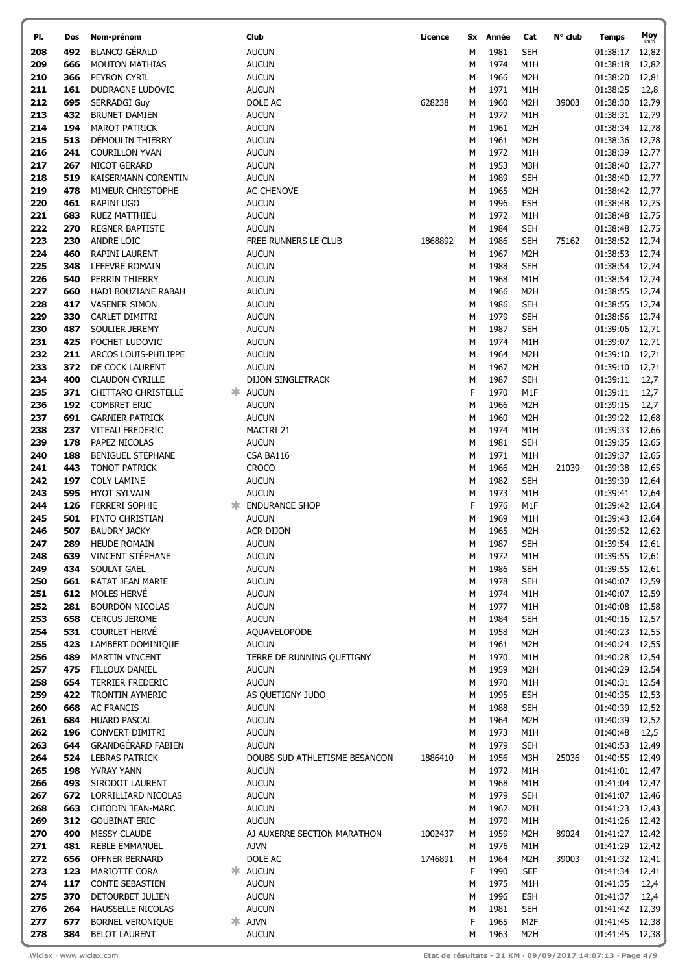| PI. | Dos | Nom-prénom                                     | Club                          | Licence | Sx | Année | Cat              | N° club | Temps          | Moy   |
|-----|-----|------------------------------------------------|-------------------------------|---------|----|-------|------------------|---------|----------------|-------|
| 208 | 492 | <b>BLANCO GÉRALD</b>                           | <b>AUCUN</b>                  |         | М  | 1981  | <b>SEH</b>       |         | 01:38:17       | 12,82 |
| 209 | 666 | <b>MOUTON MATHIAS</b>                          | <b>AUCUN</b>                  |         | М  | 1974  | M1H              |         | 01:38:18       | 12,82 |
| 210 | 366 | PEYRON CYRIL                                   | <b>AUCUN</b>                  |         | М  | 1966  | M <sub>2</sub> H |         | 01:38:20       | 12,81 |
| 211 | 161 | DUDRAGNE LUDOVIC                               | <b>AUCUN</b>                  |         | M  | 1971  | M1H              |         | 01:38:25       | 12,8  |
| 212 | 695 | <b>SERRADGI Guy</b>                            | DOLE AC                       | 628238  | М  | 1960  | M <sub>2</sub> H | 39003   | 01:38:30       | 12,79 |
| 213 | 432 | <b>BRUNET DAMIEN</b>                           | <b>AUCUN</b>                  |         | М  | 1977  | M1H              |         | 01:38:31       | 12,79 |
| 214 | 194 | <b>MAROT PATRICK</b>                           | <b>AUCUN</b>                  |         | М  | 1961  |                  |         |                |       |
|     |     |                                                |                               |         |    |       | M <sub>2</sub> H |         | 01:38:34       | 12,78 |
| 215 | 513 | DÉMOULIN THIERRY                               | <b>AUCUN</b>                  |         | М  | 1961  | M <sub>2</sub> H |         | 01:38:36       | 12,78 |
| 216 | 241 | <b>COURILLON YVAN</b>                          | <b>AUCUN</b>                  |         | M  | 1972  | M1H              |         | 01:38:39       | 12,77 |
| 217 | 267 | NICOT GERARD                                   | <b>AUCUN</b>                  |         | M  | 1953  | M3H              |         | 01:38:40       | 12,77 |
| 218 | 519 | KAISERMANN CORENTIN                            | <b>AUCUN</b>                  |         | М  | 1989  | <b>SEH</b>       |         | 01:38:40       | 12,77 |
| 219 | 478 | MIMEUR CHRISTOPHE                              | AC CHENOVE                    |         | М  | 1965  | M <sub>2</sub> H |         | 01:38:42       | 12,77 |
| 220 | 461 | RAPINI UGO                                     | <b>AUCUN</b>                  |         | M  | 1996  | <b>ESH</b>       |         | 01:38:48       | 12,75 |
| 221 | 683 | RUEZ MATTHIEU                                  | <b>AUCUN</b>                  |         | М  | 1972  | M1H              |         | 01:38:48       | 12,75 |
| 222 | 270 | <b>REGNER BAPTISTE</b>                         | <b>AUCUN</b>                  |         | M  | 1984  | <b>SEH</b>       |         | 01:38:48       | 12,75 |
| 223 | 230 | ANDRE LOIC                                     | FREE RUNNERS LE CLUB          | 1868892 | М  | 1986  | <b>SEH</b>       | 75162   | 01:38:52 12,74 |       |
| 224 | 460 | RAPINI LAURENT                                 | <b>AUCUN</b>                  |         | М  | 1967  | M <sub>2</sub> H |         | 01:38:53       | 12,74 |
| 225 | 348 | LEFEVRE ROMAIN                                 | <b>AUCUN</b>                  |         | М  | 1988  | <b>SEH</b>       |         | 01:38:54       | 12,74 |
| 226 | 540 | PERRIN THIERRY                                 | <b>AUCUN</b>                  |         | M  | 1968  | M1H              |         | 01:38:54       | 12,74 |
| 227 | 660 | HADJ BOUZIANE RABAH                            | <b>AUCUN</b>                  |         | М  | 1966  | M <sub>2</sub> H |         | 01:38:55       | 12,74 |
| 228 | 417 | <b>VASENER SIMON</b>                           | <b>AUCUN</b>                  |         | M  | 1986  | <b>SEH</b>       |         | 01:38:55       | 12,74 |
| 229 | 330 | CARLET DIMITRI                                 | <b>AUCUN</b>                  |         | М  | 1979  | <b>SEH</b>       |         | 01:38:56       | 12,74 |
| 230 | 487 | SOULIER JEREMY                                 | <b>AUCUN</b>                  |         | M  | 1987  | <b>SEH</b>       |         | 01:39:06       | 12,71 |
| 231 | 425 | POCHET LUDOVIC                                 | <b>AUCUN</b>                  |         | M  | 1974  | M1H              |         | 01:39:07       | 12,71 |
| 232 | 211 | ARCOS LOUIS-PHILIPPE                           | <b>AUCUN</b>                  |         | М  | 1964  | M <sub>2</sub> H |         | 01:39:10       | 12,71 |
| 233 | 372 | DE COCK LAURENT                                | <b>AUCUN</b>                  |         | M  | 1967  | M <sub>2</sub> H |         | 01:39:10       | 12,71 |
| 234 | 400 | <b>CLAUDON CYRILLE</b>                         | DIJON SINGLETRACK             |         | M  | 1987  | <b>SEH</b>       |         | 01:39:11       | 12,7  |
| 235 | 371 | CHITTARO CHRISTELLE                            | * AUCUN                       |         | F  | 1970  | M1F              |         | 01:39:11       | 12,7  |
| 236 | 192 | <b>COMBRET ERIC</b>                            | <b>AUCUN</b>                  |         | М  | 1966  | M <sub>2</sub> H |         | 01:39:15       | 12,7  |
| 237 | 691 | <b>GARNIER PATRICK</b>                         | <b>AUCUN</b>                  |         | M  | 1960  | M <sub>2</sub> H |         | 01:39:22       | 12,68 |
| 238 | 237 | <b>VITEAU FREDERIC</b>                         | MACTRI 21                     |         | M  | 1974  | M1H              |         | 01:39:33       | 12,66 |
| 239 | 178 | PAPEZ NICOLAS                                  | <b>AUCUN</b>                  |         | M  | 1981  | <b>SEH</b>       |         | 01:39:35       | 12,65 |
| 240 | 188 | <b>BENIGUEL STEPHANE</b>                       | CSA BA116                     |         | М  | 1971  | M1H              |         | 01:39:37       | 12,65 |
| 241 | 443 | <b>TONOT PATRICK</b>                           | <b>CROCO</b>                  |         | M  | 1966  | M <sub>2</sub> H | 21039   | 01:39:38       | 12,65 |
| 242 | 197 | <b>COLY LAMINE</b>                             | <b>AUCUN</b>                  |         | M  | 1982  | <b>SEH</b>       |         | 01:39:39       | 12,64 |
| 243 | 595 | <b>HYOT SYLVAIN</b>                            | <b>AUCUN</b>                  |         | М  | 1973  | M1H              |         | 01:39:41 12,64 |       |
| 244 | 126 | FERRERI SOPHIE                                 | <b>* ENDURANCE SHOP</b>       |         | F  | 1976  | M1F              |         | 01:39:42 12,64 |       |
| 245 | 501 | PINTO CHRISTIAN                                | <b>AUCUN</b>                  |         | M  | 1969  | M1H              |         | 01:39:43       | 12,64 |
| 246 | 507 | <b>BAUDRY JACKY</b>                            | <b>ACR DIJON</b>              |         | М  | 1965  | M <sub>2</sub> H |         | 01:39:52 12,62 |       |
| 247 | 289 |                                                | <b>AUCUN</b>                  |         | М  | 1987  | <b>SEH</b>       |         | 01:39:54 12,61 |       |
| 248 | 639 | <b>HEUDE ROMAIN</b><br><b>VINCENT STÉPHANE</b> | <b>AUCUN</b>                  |         |    | 1972  |                  |         | 01:39:55 12,61 |       |
|     |     |                                                |                               |         | М  |       | M <sub>1</sub> H |         | 01:39:55       |       |
| 249 | 434 | SOULAT GAEL                                    | <b>AUCUN</b>                  |         | М  | 1986  | <b>SEH</b>       |         |                | 12,61 |
| 250 | 661 | RATAT JEAN MARIE<br>MOLES HERVÉ                | <b>AUCUN</b>                  |         | M  | 1978  | <b>SEH</b>       |         | 01:40:07       | 12,59 |
| 251 | 612 |                                                | <b>AUCUN</b>                  |         | М  | 1974  | M1H              |         | 01:40:07       | 12,59 |
| 252 | 281 | <b>BOURDON NICOLAS</b>                         | <b>AUCUN</b>                  |         | М  | 1977  | M1H              |         | 01:40:08       | 12,58 |
| 253 | 658 | <b>CERCUS JEROME</b>                           | <b>AUCUN</b>                  |         | M  | 1984  | <b>SEH</b>       |         | 01:40:16       | 12,57 |
| 254 | 531 | <b>COURLET HERVÉ</b>                           | AQUAVELOPODE                  |         | М  | 1958  | M <sub>2</sub> H |         | 01:40:23 12,55 |       |
| 255 | 423 | LAMBERT DOMINIQUE                              | <b>AUCUN</b>                  |         | M  | 1961  | M2H              |         | 01:40:24 12,55 |       |
| 256 | 489 | <b>MARTIN VINCENT</b>                          | TERRE DE RUNNING QUETIGNY     |         | M  | 1970  | M1H              |         | 01:40:28       | 12,54 |
| 257 | 475 | <b>FILLOUX DANIEL</b>                          | <b>AUCUN</b>                  |         | М  | 1959  | M <sub>2</sub> H |         | 01:40:29 12,54 |       |
| 258 | 654 | TERRIER FREDERIC                               | <b>AUCUN</b>                  |         | М  | 1970  | M1H              |         | 01:40:31       | 12,54 |
| 259 | 422 | TRONTIN AYMERIC                                | AS QUETIGNY JUDO              |         | M  | 1995  | <b>ESH</b>       |         | 01:40:35       | 12,53 |
| 260 | 668 | <b>AC FRANCIS</b>                              | <b>AUCUN</b>                  |         | M  | 1988  | <b>SEH</b>       |         | 01:40:39 12,52 |       |
| 261 | 684 | <b>HUARD PASCAL</b>                            | <b>AUCUN</b>                  |         | M  | 1964  | M <sub>2</sub> H |         | 01:40:39       | 12,52 |
| 262 | 196 | CONVERT DIMITRI                                | <b>AUCUN</b>                  |         | М  | 1973  | M1H              |         | 01:40:48       | 12,5  |
| 263 | 644 | <b>GRANDGÉRARD FABIEN</b>                      | <b>AUCUN</b>                  |         | М  | 1979  | <b>SEH</b>       |         | 01:40:53       | 12,49 |
| 264 | 524 | <b>LEBRAS PATRICK</b>                          | DOUBS SUD ATHLETISME BESANCON | 1886410 | M  | 1956  | M3H              | 25036   | 01:40:55       | 12,49 |
| 265 | 198 | YVRAY YANN                                     | <b>AUCUN</b>                  |         | М  | 1972  | M1H              |         | 01:41:01 12,47 |       |
| 266 | 493 | SIRODOT LAURENT                                | <b>AUCUN</b>                  |         | M  | 1968  | M1H              |         | 01:41:04 12,47 |       |
| 267 | 672 | LORRILLIARD NICOLAS                            | <b>AUCUN</b>                  |         | M  | 1979  | <b>SEH</b>       |         | 01:41:07       | 12,46 |
| 268 | 663 | CHIODIN JEAN-MARC                              | <b>AUCUN</b>                  |         | М  | 1962  | M <sub>2</sub> H |         | 01:41:23 12,43 |       |
| 269 | 312 | <b>GOUBINAT ERIC</b>                           | <b>AUCUN</b>                  |         | М  | 1970  | M1H              |         | 01:41:26       | 12,42 |
| 270 | 490 | <b>MESSY CLAUDE</b>                            | AJ AUXERRE SECTION MARATHON   | 1002437 | М  | 1959  | M <sub>2</sub> H | 89024   | 01:41:27       | 12,42 |
| 271 | 481 | <b>REBLE EMMANUEL</b>                          | <b>AJVN</b>                   |         | М  | 1976  | M1H              |         | 01:41:29       | 12,42 |
| 272 | 656 | OFFNER BERNARD                                 | DOLE AC                       | 1746891 | М  | 1964  | M <sub>2</sub> H | 39003   | 01:41:32 12,41 |       |
| 273 | 123 | MARIOTTE CORA                                  | * AUCUN                       |         | F  | 1990  | <b>SEF</b>       |         | 01:41:34       | 12,41 |
| 274 | 117 | <b>CONTE SEBASTIEN</b>                         | <b>AUCUN</b>                  |         | М  | 1975  | M1H              |         | 01:41:35       | 12,4  |
| 275 | 370 | DETOURBET JULIEN                               | <b>AUCUN</b>                  |         | M  | 1996  | <b>ESH</b>       |         | 01:41:37       | 12,4  |
| 276 | 264 | HAUSSELLE NICOLAS                              | <b>AUCUN</b>                  |         | М  | 1981  | <b>SEH</b>       |         | 01:41:42 12,39 |       |
| 277 | 677 | BORNEL VERONIQUE                               | $*$ AJVN                      |         | F  | 1965  | M <sub>2F</sub>  |         | 01:41:45 12,38 |       |
| 278 | 384 | <b>BELOT LAURENT</b>                           | <b>AUCUN</b>                  |         | М  | 1963  | M2H              |         | 01:41:45 12,38 |       |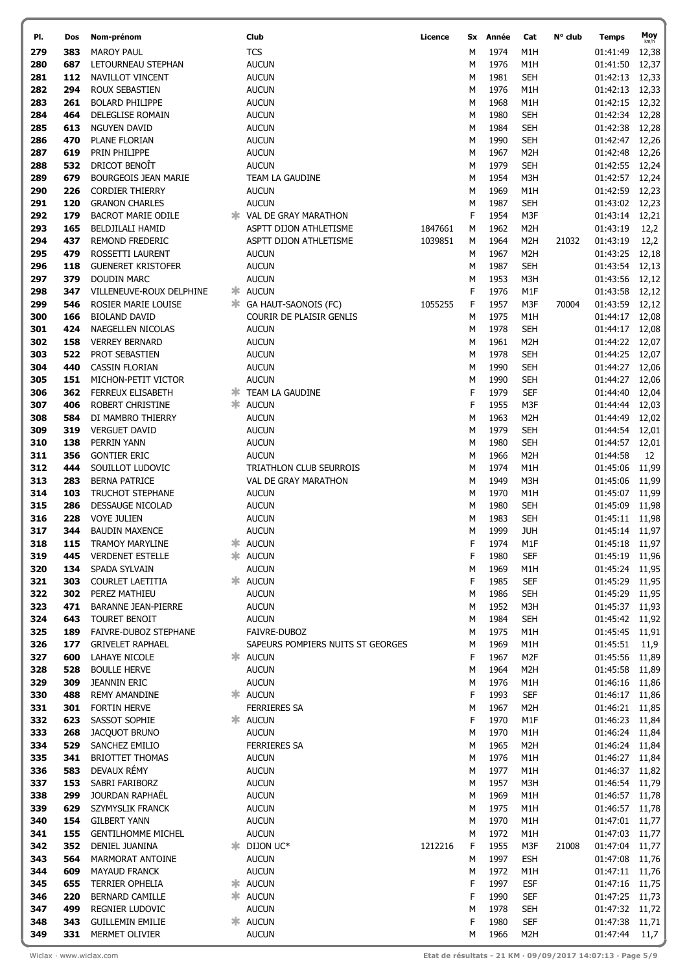| PI.        | Dos        | Nom-prénom                                  | Club                              | Licence | Sx     | Année        | Cat               | N° club | Temps                            | Moy            |
|------------|------------|---------------------------------------------|-----------------------------------|---------|--------|--------------|-------------------|---------|----------------------------------|----------------|
| 279        | 383        | <b>MAROY PAUL</b>                           | <b>TCS</b>                        |         | М      | 1974         | M1H               |         | 01:41:49                         | 12,38          |
| 280        | 687        | LETOURNEAU STEPHAN                          | <b>AUCUN</b>                      |         | М      | 1976         | M1H               |         | 01:41:50                         | 12,37          |
| 281        | 112        | NAVILLOT VINCENT                            | <b>AUCUN</b>                      |         | М      | 1981         | <b>SEH</b>        |         | 01:42:13                         | 12,33          |
| 282        | 294        | ROUX SEBASTIEN                              | <b>AUCUN</b>                      |         | M      | 1976         | M1H               |         | 01:42:13                         | 12,33          |
| 283        | 261        | <b>BOLARD PHILIPPE</b>                      | <b>AUCUN</b>                      |         | M      | 1968         | M1H               |         | 01:42:15                         | 12,32          |
| 284        | 464        | DELEGLISE ROMAIN                            | <b>AUCUN</b>                      |         | M      | 1980         | <b>SEH</b>        |         | 01:42:34                         | 12,28          |
| 285        | 613        | NGUYEN DAVID                                | <b>AUCUN</b>                      |         | М      | 1984         | <b>SEH</b>        |         | 01:42:38                         | 12,28          |
| 286        | 470        | PLANE FLORIAN                               | <b>AUCUN</b>                      |         | M      | 1990         | <b>SEH</b>        |         | 01:42:47                         | 12,26          |
| 287        | 619        | PRIN PHILIPPE                               | <b>AUCUN</b>                      |         | M      | 1967         | M <sub>2</sub> H  |         | 01:42:48                         | 12,26          |
| 288        | 532        | DRICOT BENOIT                               | <b>AUCUN</b>                      |         | M      | 1979         | <b>SEH</b>        |         | 01:42:55                         | 12,24          |
| 289        | 679        | <b>BOURGEOIS JEAN MARIE</b>                 | TEAM LA GAUDINE                   |         | M      | 1954         | M3H               |         | 01:42:57                         | 12,24          |
| 290        | 226        | <b>CORDIER THIERRY</b>                      | <b>AUCUN</b>                      |         | M      | 1969         | M1H               |         | 01:42:59                         | 12,23          |
| 291        | 120        | <b>GRANON CHARLES</b>                       | <b>AUCUN</b>                      |         | М      | 1987         | <b>SEH</b>        |         | 01:43:02                         | 12,23          |
| 292        | 179        | <b>BACROT MARIE ODILE</b>                   | <b>* VAL DE GRAY MARATHON</b>     |         | F      | 1954         | M3F               |         | 01:43:14                         | 12,21          |
| 293        | 165        | <b>BELDJILALI HAMID</b>                     | ASPTT DIJON ATHLETISME            | 1847661 | М      | 1962         | M <sub>2</sub> H  |         | 01:43:19                         | 12,2           |
| 294        | 437        | <b>REMOND FREDERIC</b>                      | ASPTT DIJON ATHLETISME            | 1039851 | M      | 1964         | M <sub>2</sub> H  | 21032   | 01:43:19                         | 12,2           |
| 295        | 479        | ROSSETTI LAURENT                            | <b>AUCUN</b>                      |         | М      | 1967         | M <sub>2</sub> H  |         | 01:43:25                         | 12,18          |
| 296        | 118        | <b>GUENERET KRISTOFER</b>                   | <b>AUCUN</b>                      |         | M      | 1987         | <b>SEH</b>        |         | 01:43:54                         | 12,13          |
| 297        | 379        | DOUDIN MARC                                 | <b>AUCUN</b>                      |         | M      | 1953         | M3H               |         | 01:43:56                         | 12,12          |
| 298        | 347        | VILLENEUVE-ROUX DELPHINE                    | * AUCUN                           |         | F      | 1976         | M1F               |         | 01:43:58                         | 12,12          |
| 299<br>300 | 546<br>166 | ROSIER MARIE LOUISE<br><b>BIOLAND DAVID</b> | COURIR DE PLAISIR GENLIS          | 1055255 | F<br>M | 1957<br>1975 | M3F<br>M1H        | 70004   | 01:43:59<br>01:44:17             | 12,12          |
| 301        | 424        | NAEGELLEN NICOLAS                           | <b>AUCUN</b>                      |         | M      | 1978         | <b>SEH</b>        |         | 01:44:17                         | 12,08<br>12,08 |
| 302        | 158        | <b>VERREY BERNARD</b>                       | <b>AUCUN</b>                      |         | M      | 1961         | M <sub>2</sub> H  |         | 01:44:22                         | 12,07          |
| 303        | 522        | PROT SEBASTIEN                              | <b>AUCUN</b>                      |         | М      | 1978         | <b>SEH</b>        |         | 01:44:25                         | 12,07          |
| 304        | 440        | <b>CASSIN FLORIAN</b>                       | <b>AUCUN</b>                      |         | M      | 1990         | <b>SEH</b>        |         | 01:44:27                         | 12,06          |
| 305        | 151        | MICHON-PETIT VICTOR                         | <b>AUCUN</b>                      |         | M      | 1990         | <b>SEH</b>        |         | 01:44:27                         | 12,06          |
| 306        | 362        | FERREUX ELISABETH                           | <b>* TEAM LA GAUDINE</b>          |         | F      | 1979         | <b>SEF</b>        |         | 01:44:40                         | 12,04          |
| 307        | 406        | ROBERT CHRISTINE                            | * AUCUN                           |         | F      | 1955         | M3F               |         | 01:44:44                         | 12,03          |
| 308        | 584        | DI MAMBRO THIERRY                           | <b>AUCUN</b>                      |         | M      | 1963         | M <sub>2</sub> H  |         | 01:44:49                         | 12,02          |
| 309        | 319        | <b>VERGUET DAVID</b>                        | <b>AUCUN</b>                      |         | M      | 1979         | <b>SEH</b>        |         | 01:44:54                         | 12,01          |
| 310        | 138        | PERRIN YANN                                 | <b>AUCUN</b>                      |         | M      | 1980         | <b>SEH</b>        |         | 01:44:57                         | 12,01          |
| 311        | 356        | <b>GONTIER ERIC</b>                         | <b>AUCUN</b>                      |         | M      | 1966         | M <sub>2</sub> H  |         | 01:44:58                         | 12             |
| 312        | 444        | SOUILLOT LUDOVIC                            | TRIATHLON CLUB SEURROIS           |         | M      | 1974         | M1H               |         | 01:45:06                         | 11,99          |
| 313        | 283        | <b>BERNA PATRICE</b>                        | VAL DE GRAY MARATHON              |         | M      | 1949         | M3H               |         | 01:45:06                         | 11,99          |
| 314        | 103        | <b>TRUCHOT STEPHANE</b>                     | <b>AUCUN</b>                      |         | М      | 1970         | M1H               |         | 01:45:07                         | 11,99          |
| 315        | 286        | DESSAUGE NICOLAD                            | <b>AUCUN</b>                      |         | M      | 1980         | <b>SEH</b>        |         | 01:45:09                         | 11,98          |
| 316        | 228        | <b>VOYE JULIEN</b>                          | <b>AUCUN</b>                      |         | М      | 1983         | <b>SEH</b>        |         | 01:45:11                         | 11,98          |
| 317        | 344        | <b>BAUDIN MAXENCE</b>                       | <b>AUCUN</b>                      |         | м      | 1999         | <b>JUH</b>        |         | 01:45:14 11,97                   |                |
| 318        | 115        | <b>TRAMOY MARYLINE</b>                      | <b>☀ AUCUN</b>                    |         | F      | 1974         | M1F               |         | 01:45:18 11,97                   |                |
| 319        | 445        | <b>VERDENET ESTELLE</b>                     | * AUCUN                           |         | F      | 1980         | <b>SEF</b>        |         | 01:45:19 11,96                   |                |
| 320        | 134        | SPADA SYLVAIN                               | <b>AUCUN</b>                      |         | М      | 1969         | M1H               |         | 01:45:24 11,95                   |                |
| 321        | 303        | COURLET LAETITIA                            | * AUCUN                           |         | F      | 1985         | <b>SEF</b>        |         | 01:45:29                         | 11,95          |
| 322<br>323 | 302<br>471 | PEREZ MATHIEU<br><b>BARANNE JEAN-PIERRE</b> | <b>AUCUN</b><br><b>AUCUN</b>      |         | M      | 1986<br>1952 | <b>SEH</b><br>M3H |         | 01:45:29                         | 11,95          |
| 324        | 643        | <b>TOURET BENOIT</b>                        | <b>AUCUN</b>                      |         | М<br>М | 1984         | <b>SEH</b>        |         | 01:45:37 11,93<br>01:45:42 11,92 |                |
| 325        | 189        | FAIVRE-DUBOZ STEPHANE                       | FAIVRE-DUBOZ                      |         | М      | 1975         | M1H               |         | 01:45:45 11,91                   |                |
| 326        | 177        | <b>GRIVELET RAPHAEL</b>                     | SAPEURS POMPIERS NUITS ST GEORGES |         | M      | 1969         | M1H               |         | 01:45:51                         | 11,9           |
| 327        | 600        | <b>LAHAYE NICOLE</b>                        | * AUCUN                           |         | F      | 1967         | M <sub>2</sub> F  |         | 01:45:56                         | 11,89          |
| 328        | 528        | <b>BOULLE HERVE</b>                         | <b>AUCUN</b>                      |         | М      | 1964         | M <sub>2</sub> H  |         | 01:45:58                         | 11,89          |
| 329        | 309        | <b>JEANNIN ERIC</b>                         | <b>AUCUN</b>                      |         | M      | 1976         | M1H               |         | 01:46:16                         | 11,86          |
| 330        | 488        | <b>REMY AMANDINE</b>                        | * AUCUN                           |         | F      | 1993         | <b>SEF</b>        |         | 01:46:17                         | 11,86          |
| 331        | 301        | <b>FORTIN HERVE</b>                         | <b>FERRIERES SA</b>               |         | М      | 1967         | M <sub>2</sub> H  |         | 01:46:21 11,85                   |                |
| 332        | 623        | SASSOT SOPHIE                               | * AUCUN                           |         | F      | 1970         | M1F               |         | 01:46:23                         | 11,84          |
| 333        | 268        | <b>JACQUOT BRUNO</b>                        | <b>AUCUN</b>                      |         | M      | 1970         | M1H               |         | 01:46:24 11,84                   |                |
| 334        | 529        | SANCHEZ EMILIO                              | <b>FERRIERES SA</b>               |         | M      | 1965         | M <sub>2</sub> H  |         | 01:46:24                         | 11,84          |
| 335        | 341        | <b>BRIOTTET THOMAS</b>                      | <b>AUCUN</b>                      |         | М      | 1976         | M1H               |         | 01:46:27                         | 11,84          |
| 336        | 583        | DEVAUX RÉMY                                 | <b>AUCUN</b>                      |         | М      | 1977         | M1H               |         | 01:46:37                         | 11,82          |
| 337        | 153        | SABRI FARIBORZ                              | <b>AUCUN</b>                      |         | M      | 1957         | M3H               |         | 01:46:54                         | 11,79          |
| 338        | 299        | JOURDAN RAPHAËL                             | <b>AUCUN</b>                      |         | M      | 1969         | M1H               |         | 01:46:57                         | 11,78          |
| 339        | 629        | SZYMYSLIK FRANCK                            | <b>AUCUN</b>                      |         | М      | 1975         | M1H               |         | 01:46:57 11,78                   |                |
| 340        | 154        | <b>GILBERT YANN</b>                         | <b>AUCUN</b>                      |         | М      | 1970         | M1H               |         | 01:47:01 11,77                   |                |
| 341<br>342 | 155<br>352 | <b>GENTILHOMME MICHEL</b><br>DENIEL JUANINA | <b>AUCUN</b><br>* DIJON UC*       | 1212216 | M<br>F | 1972<br>1955 | M1H<br>M3F        |         | 01:47:03                         | 11,77          |
| 343        | 564        | MARMORAT ANTOINE                            | <b>AUCUN</b>                      |         | М      | 1997         | <b>ESH</b>        | 21008   | 01:47:04 11,77<br>01:47:08       | 11,76          |
| 344        | 609        | <b>MAYAUD FRANCK</b>                        | <b>AUCUN</b>                      |         | M      | 1972         | M1H               |         | 01:47:11 11,76                   |                |
| 345        | 655        | TERRIER OPHELIA                             | * AUCUN                           |         | F      | 1997         | <b>ESF</b>        |         | 01:47:16 11,75                   |                |
| 346        | 220        | <b>BERNARD CAMILLE</b>                      | * AUCUN                           |         | F      | 1990         | <b>SEF</b>        |         | 01:47:25 11,73                   |                |
| 347        | 499        | <b>REGNIER LUDOVIC</b>                      | <b>AUCUN</b>                      |         | M      | 1978         | <b>SEH</b>        |         | 01:47:32                         | 11,72          |
| 348        | 343        | <b>GUILLEMIN EMILIE</b>                     | * AUCUN                           |         | F      | 1980         | <b>SEF</b>        |         | 01:47:38 11,71                   |                |
| 349        | 331        | MERMET OLIVIER                              | <b>AUCUN</b>                      |         | М      | 1966         | M <sub>2</sub> H  |         | 01:47:44                         | 11,7           |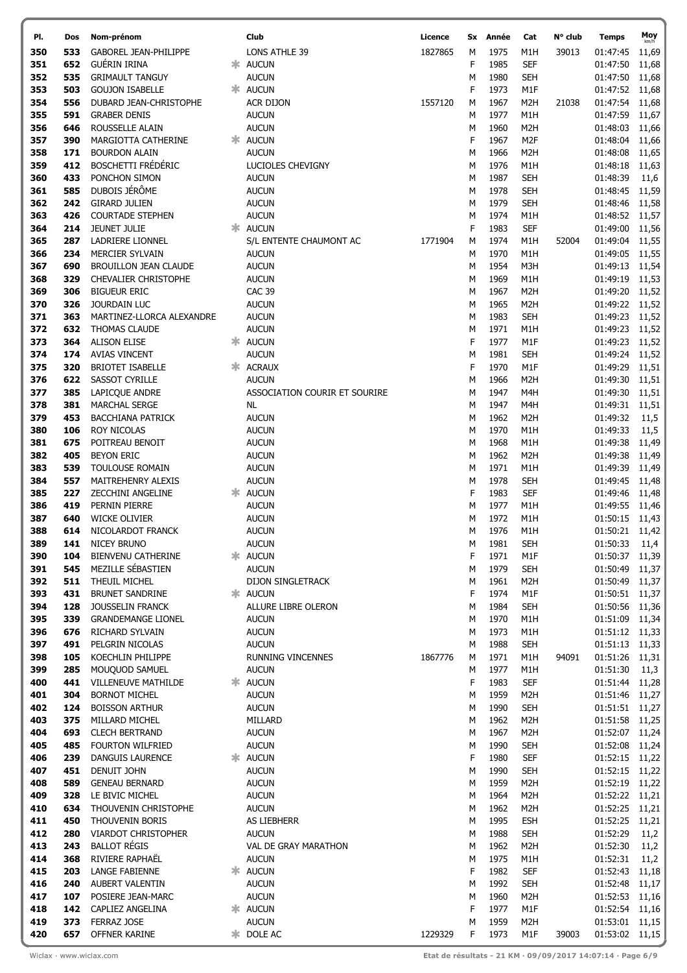| PI.        | Dos        | Nom-prénom                                        | Club                              | Licence | Sx     | Année        | Cat                            | N° club | <b>Temps</b>               | Moy            |
|------------|------------|---------------------------------------------------|-----------------------------------|---------|--------|--------------|--------------------------------|---------|----------------------------|----------------|
| 350        | 533        | <b>GABOREL JEAN-PHILIPPE</b>                      | <b>LONS ATHLE 39</b>              | 1827865 | М      | 1975         | M1H                            | 39013   | 01:47:45                   | 11,69          |
| 351        | 652        | GUÉRIN IRINA                                      | * AUCUN                           |         | F      | 1985         | <b>SEF</b>                     |         | 01:47:50                   | 11,68          |
| 352        | 535        | <b>GRIMAULT TANGUY</b>                            | <b>AUCUN</b>                      |         | M      | 1980         | <b>SEH</b>                     |         | 01:47:50                   | 11,68          |
| 353        | 503        | <b>GOUJON ISABELLE</b>                            | * AUCUN                           |         | F      | 1973         | M1F                            |         | 01:47:52                   | 11,68          |
| 354        | 556        | DUBARD JEAN-CHRISTOPHE                            | <b>ACR DIJON</b>                  | 1557120 | М      | 1967         | M <sub>2</sub> H               | 21038   | 01:47:54                   | 11,68          |
| 355        | 591        | <b>GRABER DENIS</b>                               | <b>AUCUN</b>                      |         | M      | 1977         | M1H                            |         | 01:47:59                   | 11,67          |
| 356        | 646        | ROUSSELLE ALAIN                                   | <b>AUCUN</b>                      |         | M      | 1960         | M <sub>2</sub> H               |         | 01:48:03                   | 11,66          |
| 357        | 390        | MARGIOTTA CATHERINE                               | * AUCUN                           |         | F      | 1967         | M <sub>2F</sub>                |         | 01:48:04                   | 11,66          |
| 358<br>359 | 171<br>412 | <b>BOURDON ALAIN</b><br><b>BOSCHETTI FRÉDÉRIC</b> | <b>AUCUN</b><br>LUCIOLES CHEVIGNY |         | M<br>M | 1966<br>1976 | M <sub>2</sub> H<br>M1H        |         | 01:48:08<br>01:48:18       | 11,65<br>11,63 |
| 360        | 433        | PONCHON SIMON                                     | <b>AUCUN</b>                      |         | M      | 1987         | <b>SEH</b>                     |         | 01:48:39                   | 11,6           |
| 361        | 585        | DUBOIS JÉRÔME                                     | <b>AUCUN</b>                      |         | M      | 1978         | <b>SEH</b>                     |         | 01:48:45                   | 11,59          |
| 362        | 242        | <b>GIRARD JULIEN</b>                              | <b>AUCUN</b>                      |         | M      | 1979         | <b>SEH</b>                     |         | 01:48:46                   | 11,58          |
| 363        | 426        | <b>COURTADE STEPHEN</b>                           | <b>AUCUN</b>                      |         | M      | 1974         | M1H                            |         | 01:48:52                   | 11,57          |
| 364        | 214        | <b>JEUNET JULIE</b>                               | * AUCUN                           |         | F      | 1983         | <b>SEF</b>                     |         | 01:49:00                   | 11,56          |
| 365        | 287        | LADRIERE LIONNEL                                  | S/L ENTENTE CHAUMONT AC           | 1771904 | М      | 1974         | M1H                            | 52004   | 01:49:04                   | 11,55          |
| 366        | 234        | <b>MERCIER SYLVAIN</b>                            | <b>AUCUN</b>                      |         | M      | 1970         | M1H                            |         | 01:49:05                   | 11,55          |
| 367        | 690        | <b>BROUILLON JEAN CLAUDE</b>                      | <b>AUCUN</b>                      |         | M      | 1954         | M3H                            |         | 01:49:13                   | 11,54          |
| 368        | 329        | CHEVALIER CHRISTOPHE                              | <b>AUCUN</b>                      |         | М      | 1969         | M1H                            |         | 01:49:19                   | 11,53          |
| 369        | 306        | <b>BIGUEUR ERIC</b>                               | <b>CAC 39</b>                     |         | M      | 1967         | M <sub>2</sub> H               |         | 01:49:20                   | 11,52          |
| 370<br>371 | 326<br>363 | JOURDAIN LUC<br>MARTINEZ-LLORCA ALEXANDRE         | <b>AUCUN</b><br><b>AUCUN</b>      |         | M<br>М | 1965<br>1983 | M <sub>2</sub> H<br><b>SEH</b> |         | 01:49:22<br>01:49:23       | 11,52<br>11,52 |
| 372        | 632        | <b>THOMAS CLAUDE</b>                              | <b>AUCUN</b>                      |         | M      | 1971         | M1H                            |         | 01:49:23                   | 11,52          |
| 373        | 364        | <b>ALISON ELISE</b>                               | * AUCUN                           |         | F      | 1977         | M1F                            |         | 01:49:23                   | 11,52          |
| 374        | 174        | <b>AVIAS VINCENT</b>                              | <b>AUCUN</b>                      |         | Μ      | 1981         | <b>SEH</b>                     |         | 01:49:24                   | 11,52          |
| 375        | 320        | <b>BRIOTET ISABELLE</b>                           | * ACRAUX                          |         | F      | 1970         | M1F                            |         | 01:49:29                   | 11,51          |
| 376        | 622        | <b>SASSOT CYRILLE</b>                             | <b>AUCUN</b>                      |         | M      | 1966         | M <sub>2</sub> H               |         | 01:49:30                   | 11,51          |
| 377        | 385        | LAPICQUE ANDRE                                    | ASSOCIATION COURIR ET SOURIRE     |         | M      | 1947         | M4H                            |         | 01:49:30                   | 11,51          |
| 378        | 381        | <b>MARCHAL SERGE</b>                              | NL                                |         | M      | 1947         | M4H                            |         | 01:49:31                   | 11,51          |
| 379        | 453        | <b>BACCHIANA PATRICK</b>                          | <b>AUCUN</b>                      |         | M      | 1962         | M <sub>2</sub> H               |         | 01:49:32                   | 11,5           |
| 380        | 106        | <b>ROY NICOLAS</b>                                | <b>AUCUN</b>                      |         | M      | 1970         | M1H                            |         | 01:49:33                   | 11,5           |
| 381        | 675        | POITREAU BENOIT                                   | <b>AUCUN</b>                      |         | M      | 1968         | M1H                            |         | 01:49:38                   | 11,49          |
| 382<br>383 | 405<br>539 | <b>BEYON ERIC</b><br>TOULOUSE ROMAIN              | <b>AUCUN</b><br><b>AUCUN</b>      |         | M<br>M | 1962<br>1971 | M <sub>2</sub> H<br>M1H        |         | 01:49:38<br>01:49:39       | 11,49<br>11,49 |
| 384        | 557        | MAITREHENRY ALEXIS                                | <b>AUCUN</b>                      |         | M      | 1978         | <b>SEH</b>                     |         | 01:49:45                   | 11,48          |
| 385        | 227        | ZECCHINI ANGELINE                                 | * AUCUN                           |         | F      | 1983         | <b>SEF</b>                     |         | 01:49:46                   | 11,48          |
| 386        | 419        | PERNIN PIERRE                                     | <b>AUCUN</b>                      |         | M      | 1977         | M1H                            |         | 01:49:55 11,46             |                |
| 387        | 640        | <b>WICKE OLIVIER</b>                              | <b>AUCUN</b>                      |         | м      | 1972         | M1H                            |         | 01:50:15 11,43             |                |
| 388        | 614        | NICOLARDOT FRANCK                                 | <b>AUCUN</b>                      |         | М      | 1976         | M1H                            |         | 01:50:21 11,42             |                |
| 389        | 141        | <b>NICEY BRUNO</b>                                | <b>AUCUN</b>                      |         | М      | 1981         | <b>SEH</b>                     |         | 01:50:33 11,4              |                |
| 390        | 104        | <b>BIENVENU CATHERINE</b>                         | * AUCUN                           |         | F      | 1971         | M1F                            |         | 01:50:37 11,39             |                |
| 391        | 545        | MEZILLE SÉBASTIEN                                 | <b>AUCUN</b>                      |         | M      | 1979         | <b>SEH</b>                     |         | 01:50:49                   | 11,37          |
| 392        | 511        | THEUIL MICHEL                                     | DIJON SINGLETRACK                 |         | м      | 1961         | M <sub>2</sub> H               |         | 01:50:49                   | 11,37          |
| 393<br>394 | 431<br>128 | <b>BRUNET SANDRINE</b><br>JOUSSELIN FRANCK        | * AUCUN<br>ALLURE LIBRE OLERON    |         | F<br>М | 1974<br>1984 | M1F<br><b>SEH</b>              |         | 01:50:51 11,37             |                |
| 395        | 339        | <b>GRANDEMANGE LIONEL</b>                         | <b>AUCUN</b>                      |         | M      | 1970         | M1H                            |         | 01:50:56 11,36<br>01:51:09 | 11,34          |
| 396        | 676        | RICHARD SYLVAIN                                   | <b>AUCUN</b>                      |         | M      | 1973         | M1H                            |         | 01:51:12 11,33             |                |
| 397        | 491        | PELGRIN NICOLAS                                   | <b>AUCUN</b>                      |         | M      | 1988         | <b>SEH</b>                     |         | 01:51:13 11,33             |                |
| 398        | 105        | KOECHLIN PHILIPPE                                 | RUNNING VINCENNES                 | 1867776 | М      | 1971         | M1H                            | 94091   | 01:51:26                   | 11,31          |
| 399        | 285        | MOUQUOD SAMUEL                                    | <b>AUCUN</b>                      |         | M      | 1977         | M1H                            |         | 01:51:30                   | 11,3           |
| 400        | 441        | <b>VILLENEUVE MATHILDE</b>                        | * AUCUN                           |         | F      | 1983         | <b>SEF</b>                     |         | 01:51:44 11,28             |                |
| 401        | 304        | <b>BORNOT MICHEL</b>                              | <b>AUCUN</b>                      |         | М      | 1959         | M2H                            |         | 01:51:46                   | 11,27          |
| 402        | 124        | <b>BOISSON ARTHUR</b>                             | <b>AUCUN</b>                      |         | M      | 1990         | <b>SEH</b>                     |         | 01:51:51 11,27             |                |
| 403        | 375        | MILLARD MICHEL                                    | MILLARD                           |         | M      | 1962         | M <sub>2</sub> H               |         | 01:51:58 11,25             |                |
| 404<br>405 | 693<br>485 | <b>CLECH BERTRAND</b><br>FOURTON WILFRIED         | <b>AUCUN</b><br><b>AUCUN</b>      |         | M      | 1967<br>1990 | M2H<br><b>SEH</b>              |         | 01:52:07<br>01:52:08       | 11,24          |
| 406        | 239        | DANGUIS LAURENCE                                  | * AUCUN                           |         | М<br>F | 1980         | <b>SEF</b>                     |         | 01:52:15 11,22             | 11,24          |
| 407        | 451        | <b>DENUIT JOHN</b>                                | <b>AUCUN</b>                      |         | M      | 1990         | <b>SEH</b>                     |         | 01:52:15 11,22             |                |
| 408        | 589        | <b>GENEAU BERNARD</b>                             | <b>AUCUN</b>                      |         | М      | 1959         | M <sub>2</sub> H               |         | 01:52:19 11,22             |                |
| 409        | 328        | LE BIVIC MICHEL                                   | <b>AUCUN</b>                      |         | M      | 1964         | M <sub>2</sub> H               |         | 01:52:22 11,21             |                |
| 410        | 634        | THOUVENIN CHRISTOPHE                              | <b>AUCUN</b>                      |         | M      | 1962         | M <sub>2</sub> H               |         | 01:52:25 11,21             |                |
| 411        | 450        | THOUVENIN BORIS                                   | AS LIEBHERR                       |         | M      | 1995         | <b>ESH</b>                     |         | 01:52:25 11,21             |                |
| 412        | 280        | <b>VIARDOT CHRISTOPHER</b>                        | <b>AUCUN</b>                      |         | М      | 1988         | <b>SEH</b>                     |         | 01:52:29                   | 11,2           |
| 413        | 243        | <b>BALLOT RÉGIS</b>                               | VAL DE GRAY MARATHON              |         | M      | 1962         | M <sub>2</sub> H               |         | 01:52:30                   | 11,2           |
| 414        | 368        | RIVIERE RAPHAËL                                   | <b>AUCUN</b>                      |         | М      | 1975         | M1H                            |         | 01:52:31                   | 11,2           |
| 415        | 203        | <b>LANGE FABIENNE</b>                             | * AUCUN                           |         | F      | 1982         | <b>SEF</b>                     |         | 01:52:43                   | 11,18          |
| 416<br>417 | 240<br>107 | AUBERT VALENTIN<br>POSIERE JEAN-MARC              | <b>AUCUN</b><br><b>AUCUN</b>      |         | М<br>М | 1992<br>1960 | <b>SEH</b><br>M <sub>2</sub> H |         | 01:52:48<br>01:52:53       | 11,17<br>11,16 |
| 418        | 142        | CAPLIEZ ANGELINA                                  | * AUCUN                           |         | F      | 1977         | M1F                            |         | 01:52:54                   | 11,16          |
| 419        | 373        | FERRAZ JOSE                                       | <b>AUCUN</b>                      |         | М      | 1959         | M <sub>2</sub> H               |         | 01:53:01 11,15             |                |
| 420        | 657        | OFFNER KARINE                                     | <b>*</b> DOLE AC                  | 1229329 | F      | 1973         | M1F                            | 39003   | 01:53:02 11,15             |                |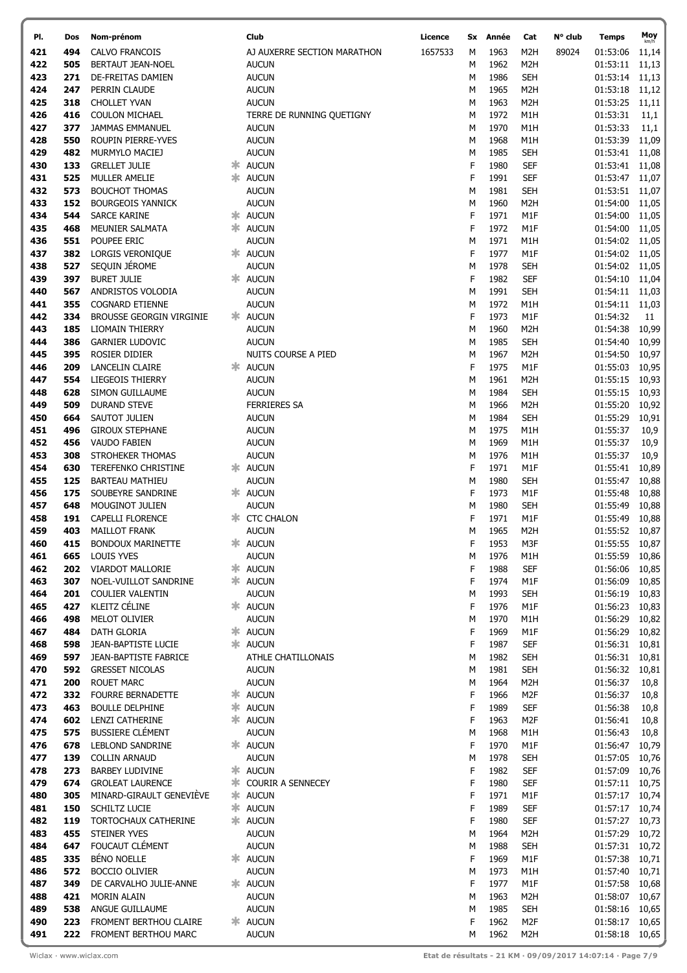| PI.        | Dos        | Nom-prénom                                        | Club                                  | Licence | Sx     | Année        | Cat                            | N° club | Temps                      | Moy<br>km/h    |
|------------|------------|---------------------------------------------------|---------------------------------------|---------|--------|--------------|--------------------------------|---------|----------------------------|----------------|
| 421        | 494        | CALVO FRANCOIS                                    | AJ AUXERRE SECTION MARATHON           | 1657533 | М      | 1963         | M2H                            | 89024   | 01:53:06                   | 11,14          |
| 422        | 505        | <b>BERTAUT JEAN-NOEL</b>                          | <b>AUCUN</b>                          |         | М      | 1962         | M <sub>2</sub> H               |         | 01:53:11                   | 11,13          |
| 423        | 271        | DE-FREITAS DAMIEN                                 | <b>AUCUN</b>                          |         | М      | 1986         | <b>SEH</b>                     |         | 01:53:14                   | 11,13          |
| 424        | 247        | PERRIN CLAUDE                                     | <b>AUCUN</b>                          |         | М      | 1965         | M <sub>2</sub> H               |         | 01:53:18                   | 11,12          |
| 425        | 318        | <b>CHOLLET YVAN</b>                               | <b>AUCUN</b>                          |         | М      | 1963         | M <sub>2</sub> H               |         | 01:53:25                   | 11,11          |
| 426        | 416        | <b>COULON MICHAEL</b>                             | TERRE DE RUNNING QUETIGNY             |         | М      | 1972<br>1970 | M1H                            |         | 01:53:31                   | 11,1           |
| 427<br>428 | 377<br>550 | JAMMAS EMMANUEL<br>ROUPIN PIERRE-YVES             | <b>AUCUN</b><br><b>AUCUN</b>          |         | M<br>М | 1968         | M1H<br>M1H                     |         | 01:53:33<br>01:53:39       | 11,1<br>11,09  |
| 429        | 482        | MURMYLO MACIEJ                                    | <b>AUCUN</b>                          |         | М      | 1985         | <b>SEH</b>                     |         | 01:53:41                   | 11,08          |
| 430        | 133        | <b>GRELLET JULIE</b>                              | * AUCUN                               |         | F      | 1980         | <b>SEF</b>                     |         | 01:53:41                   | 11,08          |
| 431        | 525        | MULLER AMELIE                                     | * AUCUN                               |         | F      | 1991         | <b>SEF</b>                     |         | 01:53:47                   | 11,07          |
| 432        | 573        | <b>BOUCHOT THOMAS</b>                             | <b>AUCUN</b>                          |         | м      | 1981         | <b>SEH</b>                     |         | 01:53:51                   | 11,07          |
| 433        | 152        | <b>BOURGEOIS YANNICK</b>                          | <b>AUCUN</b>                          |         | М      | 1960         | M <sub>2</sub> H               |         | 01:54:00                   | 11,05          |
| 434        | 544        | <b>SARCE KARINE</b>                               | * AUCUN                               |         | F      | 1971         | M1F                            |         | 01:54:00                   | 11,05          |
| 435        | 468        | MEUNIER SALMATA                                   | * AUCUN                               |         | F      | 1972         | M1F                            |         | 01:54:00                   | 11,05          |
| 436        | 551        | POUPEE ERIC                                       | <b>AUCUN</b>                          |         | М      | 1971         | M1H                            |         | 01:54:02                   | 11,05          |
| 437        | 382        | <b>LORGIS VERONIQUE</b><br>SEQUIN JÉROME          | * AUCUN                               |         | F      | 1977         | M1F                            |         | 01:54:02                   | 11,05          |
| 438<br>439 | 527<br>397 | <b>BURET JULIE</b>                                | <b>AUCUN</b><br>* AUCUN               |         | Μ<br>F | 1978<br>1982 | <b>SEH</b><br><b>SEF</b>       |         | 01:54:02<br>01:54:10       | 11,05<br>11,04 |
| 440        | 567        | ANDRISTOS VOLODIA                                 | <b>AUCUN</b>                          |         | М      | 1991         | <b>SEH</b>                     |         | 01:54:11                   | 11,03          |
| 441        | 355        | <b>COGNARD ETIENNE</b>                            | <b>AUCUN</b>                          |         | М      | 1972         | M1H                            |         | 01:54:11 11,03             |                |
| 442        | 334        | BROUSSE GEORGIN VIRGINIE                          | * AUCUN                               |         | F      | 1973         | M1F                            |         | 01:54:32                   | 11             |
| 443        | 185        | LIOMAIN THIERRY                                   | <b>AUCUN</b>                          |         | М      | 1960         | M <sub>2</sub> H               |         | 01:54:38                   | 10,99          |
| 444        | 386        | <b>GARNIER LUDOVIC</b>                            | <b>AUCUN</b>                          |         | М      | 1985         | <b>SEH</b>                     |         | 01:54:40                   | 10,99          |
| 445        | 395        | <b>ROSIER DIDIER</b>                              | NUITS COURSE A PIED                   |         | М      | 1967         | M <sub>2</sub> H               |         | 01:54:50                   | 10,97          |
| 446        | 209        | LANCELIN CLAIRE                                   | * AUCUN                               |         | F      | 1975         | M1F                            |         | 01:55:03                   | 10,95          |
| 447        | 554        | LIEGEOIS THIERRY                                  | <b>AUCUN</b>                          |         | М      | 1961         | M <sub>2</sub> H               |         | 01:55:15                   | 10,93          |
| 448<br>449 | 628<br>509 | SIMON GUILLAUME<br><b>DURAND STEVE</b>            | <b>AUCUN</b><br><b>FERRIERES SA</b>   |         | М      | 1984<br>1966 | <b>SEH</b><br>M <sub>2</sub> H |         | 01:55:15<br>01:55:20       | 10,93          |
| 450        | 664        | SAUTOT JULIEN                                     | <b>AUCUN</b>                          |         | М<br>М | 1984         | <b>SEH</b>                     |         | 01:55:29                   | 10,92<br>10,91 |
| 451        | 496        | <b>GIROUX STEPHANE</b>                            | <b>AUCUN</b>                          |         | М      | 1975         | M1H                            |         | 01:55:37                   | 10,9           |
| 452        | 456        | <b>VAUDO FABIEN</b>                               | <b>AUCUN</b>                          |         | М      | 1969         | M1H                            |         | 01:55:37                   | 10,9           |
| 453        | 308        | STROHEKER THOMAS                                  | <b>AUCUN</b>                          |         | М      | 1976         | M1H                            |         | 01:55:37                   | 10,9           |
| 454        | 630        | <b>TEREFENKO CHRISTINE</b>                        | * AUCUN                               |         | F      | 1971         | M1F                            |         | 01:55:41                   | 10,89          |
| 455        | 125        | <b>BARTEAU MATHIEU</b>                            | <b>AUCUN</b>                          |         | М      | 1980         | <b>SEH</b>                     |         | 01:55:47                   | 10,88          |
| 456        | 175        | SOUBEYRE SANDRINE                                 | * AUCUN                               |         | F      | 1973         | M1F                            |         | 01:55:48                   | 10,88          |
| 457        | 648        | MOUGINOT JULIEN                                   | <b>AUCUN</b>                          |         | м      | 1980         | <b>SEH</b>                     |         | 01:55:49                   | 10,88          |
| 458        | 191        | <b>CAPELLI FLORENCE</b>                           | <b>* CTC CHALON</b>                   |         | F      | 1971         | M1F                            |         | 01:55:49                   | 10,88          |
| 459        | 403<br>415 | <b>MAILLOT FRANK</b>                              | <b>AUCUN</b><br>* AUCUN               |         | М<br>F | 1965<br>1953 | M <sub>2</sub> H<br>M3F        |         | 01:55:52<br>01:55:55 10,87 | 10,87          |
| 460<br>461 | 665        | <b>BONDOUX MARINETTE</b><br>LOUIS YVES            | <b>AUCUN</b>                          |         | м      | 1976         | M1H                            |         | 01:55:59                   | 10,86          |
| 462        | 202        | VIARDOT MALLORIE                                  | * AUCUN                               |         | F      | 1988         | <b>SEF</b>                     |         | 01:56:06                   | 10,85          |
| 463        | 307        | NOEL-VUILLOT SANDRINE                             | * AUCUN                               |         | F      | 1974         | M <sub>1</sub> F               |         | 01:56:09                   | 10,85          |
| 464        | 201        | <b>COULIER VALENTIN</b>                           | <b>AUCUN</b>                          |         | м      | 1993         | <b>SEH</b>                     |         | 01:56:19                   | 10,83          |
| 465        | 427        | KLEITZ CÉLINE                                     | * AUCUN                               |         | F      | 1976         | M1F                            |         | 01:56:23                   | 10,83          |
| 466        | 498        | MELOT OLIVIER                                     | <b>AUCUN</b>                          |         | М      | 1970         | M1H                            |         | 01:56:29                   | 10,82          |
| 467        | 484        | <b>DATH GLORIA</b>                                | * AUCUN                               |         | F      | 1969         | M1F                            |         | 01:56:29                   | 10,82          |
| 468        | 598        | JEAN-BAPTISTE LUCIE                               | <b>*</b> AUCUN                        |         | F      | 1987         | <b>SEF</b>                     |         | 01:56:31                   | 10,81          |
| 469<br>470 | 597<br>592 | JEAN-BAPTISTE FABRICE<br><b>GRESSET NICOLAS</b>   | ATHLE CHATILLONAIS<br><b>AUCUN</b>    |         | М<br>М | 1982<br>1981 | <b>SEH</b><br><b>SEH</b>       |         | 01:56:31<br>01:56:32       | 10,81<br>10,81 |
| 471        | 200        | <b>ROUET MARC</b>                                 | <b>AUCUN</b>                          |         | м      | 1964         | M <sub>2</sub> H               |         | 01:56:37                   | 10,8           |
| 472        | 332        | <b>FOURRE BERNADETTE</b>                          | * AUCUN                               |         | F      | 1966         | M <sub>2F</sub>                |         | 01:56:37                   | 10,8           |
| 473        | 463        | <b>BOULLE DELPHINE</b>                            | * AUCUN                               |         | F      | 1989         | <b>SEF</b>                     |         | 01:56:38                   | 10,8           |
| 474        | 602        | LENZI CATHERINE                                   | <b>*</b> AUCUN                        |         | F      | 1963         | M <sub>2F</sub>                |         | 01:56:41                   | 10,8           |
| 475        | 575        | <b>BUSSIERE CLÉMENT</b>                           | <b>AUCUN</b>                          |         | М      | 1968         | M1H                            |         | 01:56:43                   | 10,8           |
| 476        | 678        | <b>LEBLOND SANDRINE</b>                           | * AUCUN                               |         | F      | 1970         | M1F                            |         | 01:56:47                   | 10,79          |
| 477        | 139        | <b>COLLIN ARNAUD</b>                              | <b>AUCUN</b>                          |         | М      | 1978         | <b>SEH</b>                     |         | 01:57:05                   | 10,76          |
| 478<br>479 | 273<br>674 | <b>BARBEY LUDIVINE</b><br><b>GROLEAT LAURENCE</b> | * AUCUN<br><b>* COURIR A SENNECEY</b> |         | F<br>F | 1982<br>1980 | <b>SEF</b><br><b>SEF</b>       |         | 01:57:09<br>01:57:11       | 10,76<br>10,75 |
| 480        | 305        | MINARD-GIRAULT GENEVIÈVE                          | * AUCUN                               |         | F      | 1971         | M1F                            |         | 01:57:17 10,74             |                |
| 481        | 150        | <b>SCHILTZ LUCIE</b>                              | * AUCUN                               |         | F      | 1989         | <b>SEF</b>                     |         | 01:57:17                   | 10,74          |
| 482        | 119        | TORTOCHAUX CATHERINE                              | * AUCUN                               |         | F      | 1980         | <b>SEF</b>                     |         | 01:57:27                   | 10,73          |
| 483        | 455        | STEINER YVES                                      | <b>AUCUN</b>                          |         | М      | 1964         | M2H                            |         | 01:57:29                   | 10,72          |
| 484        | 647        | FOUCAUT CLÉMENT                                   | <b>AUCUN</b>                          |         | М      | 1988         | <b>SEH</b>                     |         | 01:57:31                   | 10,72          |
| 485        | 335        | <b>BÉNO NOELLE</b>                                | * AUCUN                               |         | F      | 1969         | M1F                            |         | 01:57:38                   | 10,71          |
| 486        | 572        | <b>BOCCIO OLIVIER</b>                             | <b>AUCUN</b>                          |         | М      | 1973         | M <sub>1</sub> H               |         | 01:57:40                   | 10,71          |
| 487<br>488 | 349        | DE CARVALHO JULIE-ANNE<br><b>MORIN ALAIN</b>      | * AUCUN<br><b>AUCUN</b>               |         | F      | 1977<br>1963 | M1F                            |         | 01:57:58<br>01:58:07       | 10,68          |
| 489        | 421<br>538 | ANGUE GUILLAUME                                   | <b>AUCUN</b>                          |         | М<br>М | 1985         | M <sub>2</sub> H<br><b>SEH</b> |         | 01:58:16                   | 10,67<br>10,65 |
| 490        | 223        | FROMENT BERTHOU CLAIRE                            | * AUCUN                               |         | F      | 1962         | M <sub>2F</sub>                |         | 01:58:17                   | 10,65          |
| 491        | 222        | FROMENT BERTHOU MARC                              | <b>AUCUN</b>                          |         | М      | 1962         | M <sub>2</sub> H               |         | 01:58:18                   | 10,65          |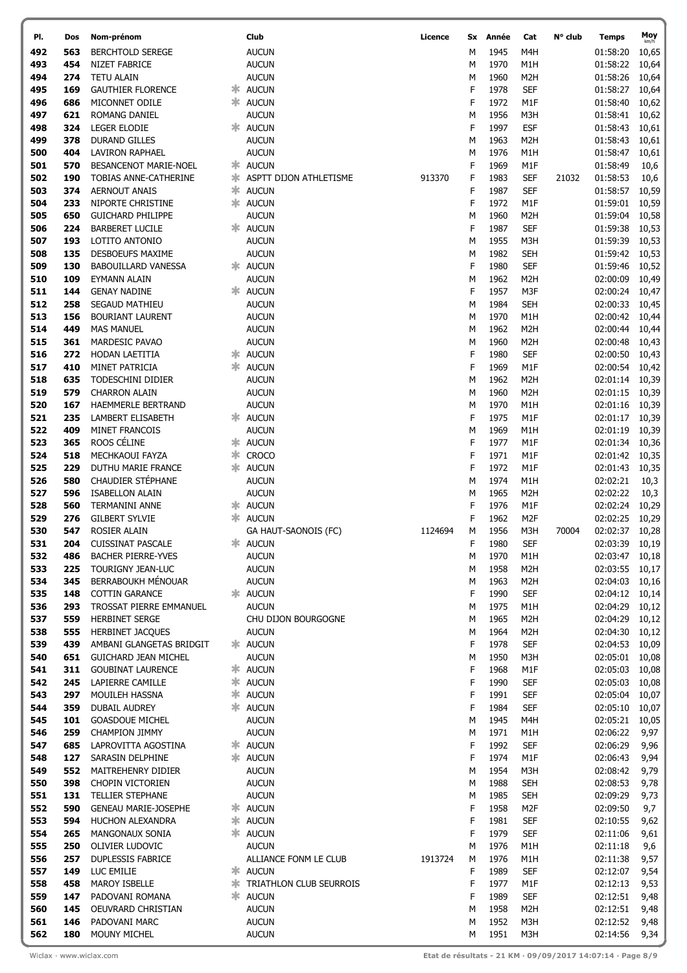| PI.        | Dos        | Nom-prénom                             | Club                             | Licence | Sx     | Année        | Cat               | N° club | Temps                | Moy           |
|------------|------------|----------------------------------------|----------------------------------|---------|--------|--------------|-------------------|---------|----------------------|---------------|
| 492        | 563        | <b>BERCHTOLD SEREGE</b>                | <b>AUCUN</b>                     |         | М      | 1945         | M4H               |         | 01:58:20             | km/h<br>10,65 |
| 493        | 454        | NIZET FABRICE                          | <b>AUCUN</b>                     |         | М      | 1970         | M1H               |         | 01:58:22             | 10,64         |
| 494        | 274        | <b>TETU ALAIN</b>                      | <b>AUCUN</b>                     |         | М      | 1960         | M <sub>2</sub> H  |         | 01:58:26             |               |
|            | 169        |                                        |                                  |         | F      |              |                   |         |                      | 10,64         |
| 495        |            | <b>GAUTHIER FLORENCE</b>               | * AUCUN                          |         |        | 1978         | <b>SEF</b>        |         | 01:58:27             | 10,64         |
| 496        | 686        | MICONNET ODILE                         | * AUCUN                          |         | F      | 1972         | M1F               |         | 01:58:40             | 10,62         |
| 497        | 621        | ROMANG DANIEL                          | <b>AUCUN</b>                     |         | M      | 1956         | M3H               |         | 01:58:41             | 10,62         |
| 498        | 324        | <b>LEGER ELODIE</b>                    | * AUCUN                          |         | F      | 1997         | <b>ESF</b>        |         | 01:58:43             | 10,61         |
| 499        | 378        | <b>DURAND GILLES</b>                   | <b>AUCUN</b>                     |         | M      | 1963         | M <sub>2</sub> H  |         | 01:58:43             | 10,61         |
| 500        | 404        | <b>LAVIRON RAPHAEL</b>                 | <b>AUCUN</b>                     |         | М      | 1976         | M1H               |         | 01:58:47             | 10,61         |
| 501        | 570        | BESANCENOT MARIE-NOEL                  | * AUCUN                          |         | F      | 1969         | M1F               |         | 01:58:49             | 10,6          |
| 502        | 190        | TOBIAS ANNE-CATHERINE                  | * ASPTT DIJON ATHLETISME         | 913370  | F      | 1983         | <b>SEF</b>        | 21032   | 01:58:53             | 10,6          |
| 503        | 374        | <b>AERNOUT ANAIS</b>                   | * AUCUN                          |         | F      | 1987         | <b>SEF</b>        |         | 01:58:57             | 10,59         |
| 504        | 233        | NIPORTE CHRISTINE                      | * AUCUN                          |         | F      | 1972         | M1F               |         | 01:59:01             | 10,59         |
| 505        | 650        | <b>GUICHARD PHILIPPE</b>               | <b>AUCUN</b>                     |         | M      | 1960         | M <sub>2</sub> H  |         | 01:59:04             | 10,58         |
| 506        | 224        | <b>BARBERET LUCILE</b>                 | * AUCUN                          |         | F      | 1987         | <b>SEF</b>        |         | 01:59:38             | 10,53         |
| 507        | 193        | LOTITO ANTONIO                         | <b>AUCUN</b>                     |         | M      | 1955         | M3H               |         | 01:59:39             | 10,53         |
| 508        | 135        | DESBOEUFS MAXIME                       | <b>AUCUN</b>                     |         | М      | 1982         | SEH               |         | 01:59:42             | 10,53         |
| 509        | 130        | <b>BABOUILLARD VANESSA</b>             | * AUCUN                          |         | F      | 1980         | <b>SEF</b>        |         | 01:59:46             | 10,52         |
| 510        | 109        | <b>EYMANN ALAIN</b>                    | <b>AUCUN</b>                     |         | M      | 1962         | M <sub>2</sub> H  |         | 02:00:09             | 10,49         |
| 511        | 144        | <b>GENAY NADINE</b>                    | * AUCUN                          |         | F      | 1957         | M3F               |         | 02:00:24             | 10,47         |
| 512        | 258        | SEGAUD MATHIEU                         | <b>AUCUN</b>                     |         | M      | 1984         | <b>SEH</b>        |         | 02:00:33             | 10,45         |
| 513        | 156        | <b>BOURIANT LAURENT</b>                | <b>AUCUN</b>                     |         | M      | 1970         | M1H               |         | 02:00:42             | 10,44         |
| 514        | 449        | <b>MAS MANUEL</b>                      | <b>AUCUN</b>                     |         | M      | 1962         | M <sub>2</sub> H  |         | 02:00:44             | 10,44         |
| 515        | 361        | MARDESIC PAVAO                         | <b>AUCUN</b>                     |         | М      | 1960         | M <sub>2</sub> H  |         | 02:00:48             | 10,43         |
| 516        | 272        | HODAN LAETITIA                         | * AUCUN                          |         | F      | 1980         | <b>SEF</b>        |         | 02:00:50             | 10,43         |
| 517        | 410        | MINET PATRICIA                         | * AUCUN                          |         | F      | 1969         | M1F               |         | 02:00:54             | 10,42         |
| 518        | 635        | TODESCHINI DIDIER                      | <b>AUCUN</b>                     |         | M      | 1962         | M <sub>2</sub> H  |         | 02:01:14             | 10,39         |
| 519        | 579        | <b>CHARRON ALAIN</b>                   | <b>AUCUN</b>                     |         | M      | 1960         | M <sub>2</sub> H  |         | 02:01:15             | 10,39         |
| 520        | 167        | HAEMMERLE BERTRAND                     | <b>AUCUN</b>                     |         | M      | 1970         | M1H               |         | 02:01:16             | 10,39         |
| 521        | 235        | LAMBERT ELISABETH                      | * AUCUN                          |         | F      | 1975         | M1F               |         | 02:01:17             | 10,39         |
| 522        | 409        | MINET FRANCOIS                         | <b>AUCUN</b>                     |         | М      | 1969         | M1H               |         | 02:01:19             | 10,39         |
| 523        | 365        | ROOS CÉLINE                            | * AUCUN                          |         | F      | 1977         | M1F               |         | 02:01:34             | 10,36         |
| 524        | 518        | MECHKAOUI FAYZA                        | <b>≭</b> CROCO                   |         | F      | 1971         | M1F               |         | 02:01:42             | 10,35         |
| 525        | 229        | DUTHU MARIE FRANCE                     | * AUCUN                          |         | F      | 1972         | M1F               |         | 02:01:43             | 10,35         |
| 526        | 580        | CHAUDIER STÉPHANE                      | <b>AUCUN</b>                     |         | М      | 1974         | M1H               |         | 02:02:21             | 10,3          |
| 527        | 596        | <b>ISABELLON ALAIN</b>                 | <b>AUCUN</b>                     |         | M      | 1965         | M <sub>2</sub> H  |         | 02:02:22             | 10,3          |
| 528        | 560        | <b>TERMANINI ANNE</b>                  | * AUCUN                          |         | F      | 1976         | M1F               |         | 02:02:24             | 10,29         |
| 529        | 276        | <b>GILBERT SYLVIE</b>                  | * AUCUN                          |         | F      | 1962         | M2F               |         | 02:02:25             | 10,29         |
| 530        | 547        | <b>ROSIER ALAIN</b>                    | GA HAUT-SAONOIS (FC)             | 1124694 | M      | 1956         | M3H               | 70004   | 02:02:37             | 10,28         |
| 531        | 204        | <b>CUISSINAT PASCALE</b>               | * AUCUN                          |         | F      | 1980         | <b>SEF</b>        |         | 02:03:39 10,19       |               |
| 532        | 486        | <b>BACHER PIERRE-YVES</b>              | <b>AUCUN</b>                     |         | М      | 1970         | M1H               |         | 02:03:47 10,18       |               |
| 533        | 225        | TOURIGNY JEAN-LUC                      | <b>AUCUN</b>                     |         | М      | 1958         | M <sub>2</sub> H  |         | 02:03:55             | 10,17         |
| 534        | 345        | BERRABOUKH MÉNOUAR                     | <b>AUCUN</b>                     |         | М      | 1963         | M2H               |         | 02:04:03             | 10,16         |
| 535        | 148        | <b>COTTIN GARANCE</b>                  | * AUCUN                          |         | F      | 1990         | <b>SEF</b>        |         | 02:04:12             | 10,14         |
| 536        | 293        | TROSSAT PIERRE EMMANUEL                | <b>AUCUN</b>                     |         | М      | 1975         | M1H               |         | 02:04:29             | 10,12         |
| 537        | 559        | <b>HERBINET SERGE</b>                  | CHU DIJON BOURGOGNE              |         | М      | 1965         | M <sub>2</sub> H  |         | 02:04:29             | 10,12         |
| 538        | 555        | <b>HERBINET JACQUES</b>                | <b>AUCUN</b>                     |         | M      | 1964         | M <sub>2</sub> H  |         | 02:04:30             | 10,12         |
| 539        | 439        | AMBANI GLANGETAS BRIDGIT               | * AUCUN                          |         | F      | 1978         | <b>SEF</b>        |         | 02:04:53             | 10,09         |
| 540        | 651        | <b>GUICHARD JEAN MICHEL</b>            | <b>AUCUN</b>                     |         | M      | 1950         | M3H               |         | 02:05:01             | 10,08         |
| 541        | 311        | <b>GOUBINAT LAURENCE</b>               | * AUCUN                          |         | F      | 1968         | M1F               |         | 02:05:03             | 10,08         |
| 542        | 245        | LAPIERRE CAMILLE                       | * AUCUN                          |         | F      | 1990         | <b>SEF</b>        |         | 02:05:03             | 10,08         |
| 543        | 297        | MOUILEH HASSNA                         | * AUCUN                          |         | F      | 1991         | <b>SEF</b>        |         | 02:05:04             | 10,07         |
| 544        | 359        | <b>DUBAIL AUDREY</b>                   | * AUCUN                          |         | F      | 1984         | <b>SEF</b>        |         | 02:05:10             | 10,07         |
| 545        | 101        | <b>GOASDOUE MICHEL</b>                 | <b>AUCUN</b>                     |         | M      | 1945         | M4H               |         | 02:05:21             | 10,05         |
| 546        | 259        | <b>CHAMPION JIMMY</b>                  | <b>AUCUN</b>                     |         | M      | 1971         | M1H               |         | 02:06:22             | 9,97          |
| 547        | 685        | LAPROVITTA AGOSTINA                    | * AUCUN                          |         | F      | 1992         | <b>SEF</b>        |         | 02:06:29             | 9,96          |
| 548        | 127        | SARASIN DELPHINE                       | * AUCUN                          |         | F      | 1974         | M1F               |         | 02:06:43             | 9,94          |
| 549        | 552        | MAITREHENRY DIDIER                     | <b>AUCUN</b>                     |         | M      | 1954         | M3H               |         | 02:08:42             | 9,79          |
| 550        | 398        | <b>CHOPIN VICTORIEN</b>                | <b>AUCUN</b>                     |         | М      | 1988         | <b>SEH</b>        |         | 02:08:53             | 9,78          |
| 551        | 131        | TELLIER STEPHANE                       | <b>AUCUN</b>                     |         | M      | 1985         | <b>SEH</b>        |         | 02:09:29             | 9,73          |
| 552        | 590        | <b>GENEAU MARIE-JOSEPHE</b>            | * AUCUN                          |         | F      | 1958         | M <sub>2F</sub>   |         | 02:09:50             | 9,7           |
| 553        | 594        | HUCHON ALEXANDRA                       | * AUCUN                          |         | F      | 1981         | <b>SEF</b>        |         | 02:10:55             | 9,62          |
| 554        | 265        | MANGONAUX SONIA                        | * AUCUN                          |         | F      | 1979         | <b>SEF</b>        |         | 02:11:06             | 9,61          |
| 555        | 250        | OLIVIER LUDOVIC                        | <b>AUCUN</b>                     |         | М      | 1976         | M1H               |         | 02:11:18             | 9,6           |
| 556<br>557 | 257<br>149 | <b>DUPLESSIS FABRICE</b><br>LUC EMILIE | ALLIANCE FONM LE CLUB<br>* AUCUN | 1913724 | M<br>F | 1976<br>1989 | M1H<br><b>SEF</b> |         | 02:11:38<br>02:12:07 | 9,57          |
| 558        | 458        | <b>MAROY ISBELLE</b>                   | <b>* TRIATHLON CLUB SEURROIS</b> |         | F      | 1977         | M1F               |         | 02:12:13             | 9,54<br>9,53  |
| 559        | 147        | PADOVANI ROMANA                        | * AUCUN                          |         | F      | 1989         | <b>SEF</b>        |         | 02:12:51             | 9,48          |
| 560        | 145        | OEUVRARD CHRISTIAN                     | <b>AUCUN</b>                     |         | M      | 1958         | M <sub>2</sub> H  |         | 02:12:51             | 9,48          |
| 561        | 146        | PADOVANI MARC                          | <b>AUCUN</b>                     |         | M      | 1952         | M3H               |         | 02:12:52             | 9,48          |
| 562        | 180        | MOUNY MICHEL                           | <b>AUCUN</b>                     |         | М      | 1951         | M3H               |         | 02:14:56             | 9,34          |
|            |            |                                        |                                  |         |        |              |                   |         |                      |               |